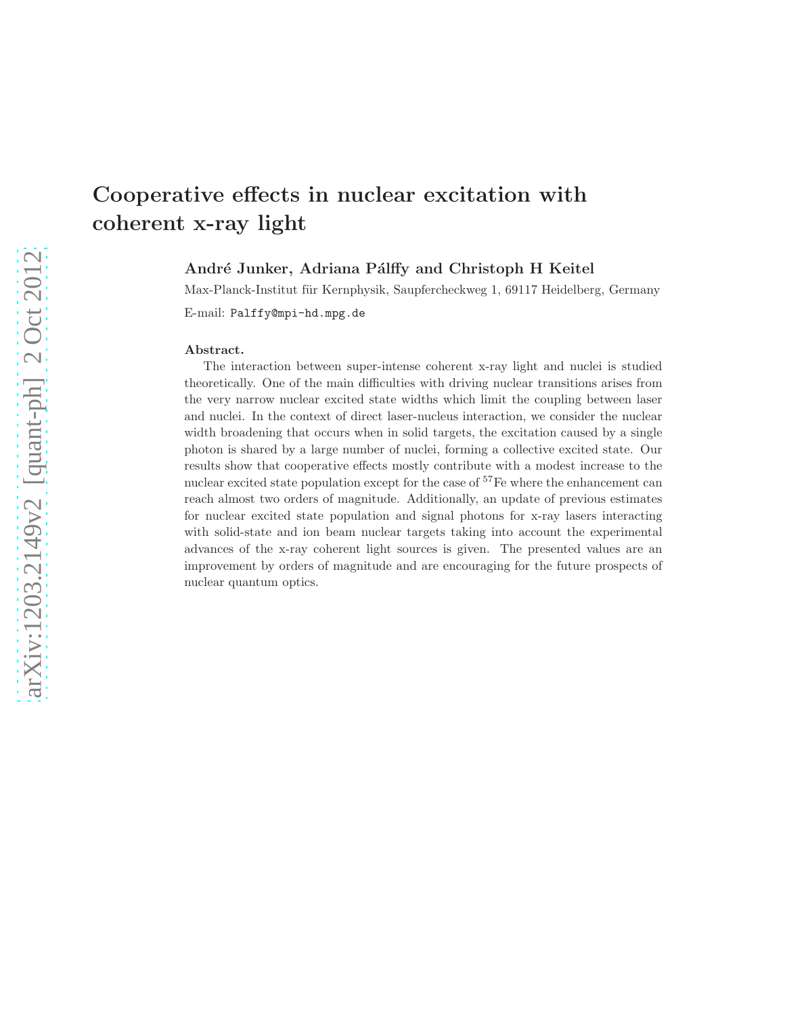# Cooperative effects in nuclear excitation with coherent x-ray light

André Junker, Adriana Pálffy and Christoph H Keitel

Max-Planck-Institut für Kernphysik, Saupfercheckweg 1, 69117 Heidelberg, Germany

E-mail: Palffy@mpi-hd.mpg.de

#### Abstract.

The interaction between super-intense coherent x-ray light and nuclei is studied theoretically. One of the main difficulties with driving nuclear transitions arises from the very narrow nuclear excited state widths which limit the coupling between laser and nuclei. In the context of direct laser-nucleus interaction, we consider the nuclear width broadening that occurs when in solid targets, the excitation caused by a single photon is shared by a large number of nuclei, forming a collective excited state. Our results show that cooperative effects mostly contribute with a modest increase to the nuclear excited state population except for the case of <sup>57</sup>Fe where the enhancement can reach almost two orders of magnitude. Additionally, an update of previous estimates for nuclear excited state population and signal photons for x-ray lasers interacting with solid-state and ion beam nuclear targets taking into account the experimental advances of the x-ray coherent light sources is given. The presented values are an improvement by orders of magnitude and are encouraging for the future prospects of nuclear quantum optics.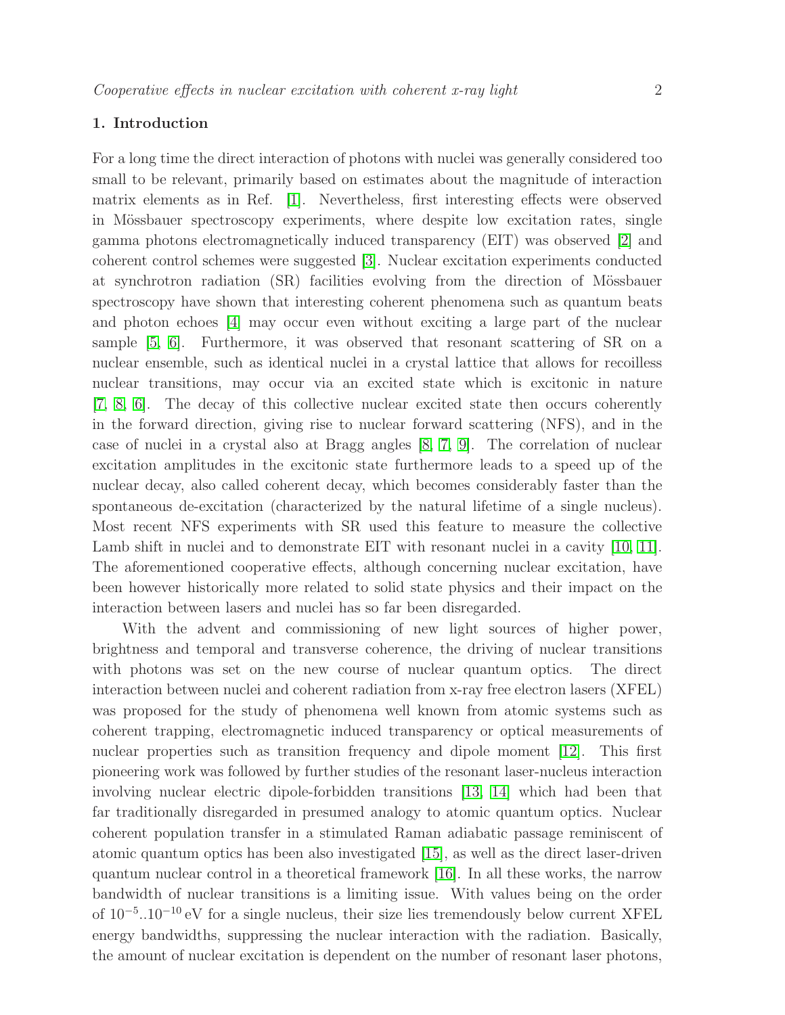# 1. Introduction

For a long time the direct interaction of photons with nuclei was generally considered too small to be relevant, primarily based on estimates about the magnitude of interaction matrix elements as in Ref. [\[1\]](#page-18-0). Nevertheless, first interesting effects were observed in Mössbauer spectroscopy experiments, where despite low excitation rates, single gamma photons electromagnetically induced transparency (EIT) was observed [\[2\]](#page-18-1) and coherent control schemes were suggested [\[3\]](#page-18-2). Nuclear excitation experiments conducted at synchrotron radiation (SR) facilities evolving from the direction of Mössbauer spectroscopy have shown that interesting coherent phenomena such as quantum beats and photon echoes [\[4\]](#page-18-3) may occur even without exciting a large part of the nuclear sample [\[5,](#page-18-4) [6\]](#page-18-5). Furthermore, it was observed that resonant scattering of SR on a nuclear ensemble, such as identical nuclei in a crystal lattice that allows for recoilless nuclear transitions, may occur via an excited state which is excitonic in nature [\[7,](#page-18-6) [8,](#page-18-7) [6\]](#page-18-5). The decay of this collective nuclear excited state then occurs coherently in the forward direction, giving rise to nuclear forward scattering (NFS), and in the case of nuclei in a crystal also at Bragg angles [\[8,](#page-18-7) [7,](#page-18-6) [9\]](#page-18-8). The correlation of nuclear excitation amplitudes in the excitonic state furthermore leads to a speed up of the nuclear decay, also called coherent decay, which becomes considerably faster than the spontaneous de-excitation (characterized by the natural lifetime of a single nucleus). Most recent NFS experiments with SR used this feature to measure the collective Lamb shift in nuclei and to demonstrate EIT with resonant nuclei in a cavity [\[10,](#page-18-9) [11\]](#page-18-10). The aforementioned cooperative effects, although concerning nuclear excitation, have been however historically more related to solid state physics and their impact on the interaction between lasers and nuclei has so far been disregarded.

With the advent and commissioning of new light sources of higher power, brightness and temporal and transverse coherence, the driving of nuclear transitions with photons was set on the new course of nuclear quantum optics. The direct interaction between nuclei and coherent radiation from x-ray free electron lasers (XFEL) was proposed for the study of phenomena well known from atomic systems such as coherent trapping, electromagnetic induced transparency or optical measurements of nuclear properties such as transition frequency and dipole moment [\[12\]](#page-18-11). This first pioneering work was followed by further studies of the resonant laser-nucleus interaction involving nuclear electric dipole-forbidden transitions [\[13,](#page-18-12) [14\]](#page-18-13) which had been that far traditionally disregarded in presumed analogy to atomic quantum optics. Nuclear coherent population transfer in a stimulated Raman adiabatic passage reminiscent of atomic quantum optics has been also investigated [\[15\]](#page-18-14), as well as the direct laser-driven quantum nuclear control in a theoretical framework [\[16\]](#page-18-15). In all these works, the narrow bandwidth of nuclear transitions is a limiting issue. With values being on the order of 10<sup>−</sup><sup>5</sup> ..10<sup>−</sup><sup>10</sup> eV for a single nucleus, their size lies tremendously below current XFEL energy bandwidths, suppressing the nuclear interaction with the radiation. Basically, the amount of nuclear excitation is dependent on the number of resonant laser photons,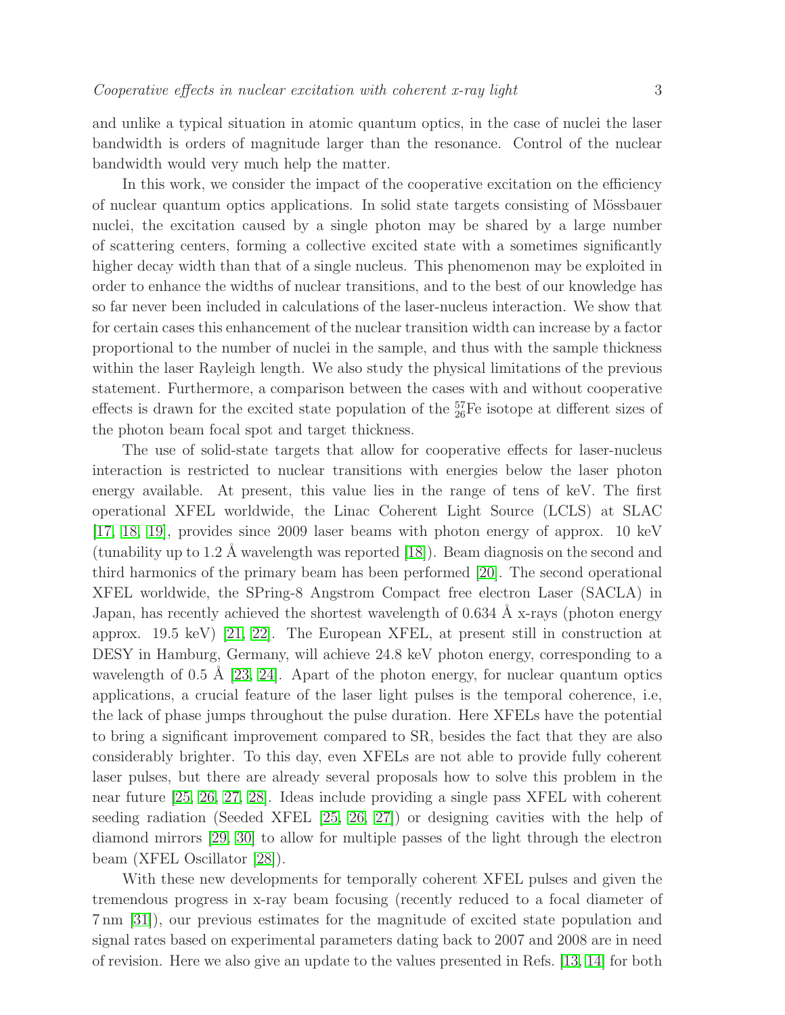and unlike a typical situation in atomic quantum optics, in the case of nuclei the laser bandwidth is orders of magnitude larger than the resonance. Control of the nuclear bandwidth would very much help the matter.

In this work, we consider the impact of the cooperative excitation on the efficiency of nuclear quantum optics applications. In solid state targets consisting of Mössbauer nuclei, the excitation caused by a single photon may be shared by a large number of scattering centers, forming a collective excited state with a sometimes significantly higher decay width than that of a single nucleus. This phenomenon may be exploited in order to enhance the widths of nuclear transitions, and to the best of our knowledge has so far never been included in calculations of the laser-nucleus interaction. We show that for certain cases this enhancement of the nuclear transition width can increase by a factor proportional to the number of nuclei in the sample, and thus with the sample thickness within the laser Rayleigh length. We also study the physical limitations of the previous statement. Furthermore, a comparison between the cases with and without cooperative effects is drawn for the excited state population of the  $_{26}^{57}$ Fe isotope at different sizes of the photon beam focal spot and target thickness.

The use of solid-state targets that allow for cooperative effects for laser-nucleus interaction is restricted to nuclear transitions with energies below the laser photon energy available. At present, this value lies in the range of tens of keV. The first operational XFEL worldwide, the Linac Coherent Light Source (LCLS) at SLAC [\[17,](#page-18-16) [18,](#page-18-17) [19\]](#page-18-18), provides since 2009 laser beams with photon energy of approx. 10 keV (tunability up to 1.2 Å wavelength was reported  $[18]$ ). Beam diagnosis on the second and third harmonics of the primary beam has been performed [\[20\]](#page-19-0). The second operational XFEL worldwide, the SPring-8 Angstrom Compact free electron Laser (SACLA) in Japan, has recently achieved the shortest wavelength of  $0.634 \text{ Å}$  x-rays (photon energy approx. 19.5 keV) [\[21,](#page-19-1) [22\]](#page-19-2). The European XFEL, at present still in construction at DESY in Hamburg, Germany, will achieve 24.8 keV photon energy, corresponding to a wavelength of 0.5 Å [\[23,](#page-19-3) [24\]](#page-19-4). Apart of the photon energy, for nuclear quantum optics applications, a crucial feature of the laser light pulses is the temporal coherence, i.e, the lack of phase jumps throughout the pulse duration. Here XFELs have the potential to bring a significant improvement compared to SR, besides the fact that they are also considerably brighter. To this day, even XFELs are not able to provide fully coherent laser pulses, but there are already several proposals how to solve this problem in the near future [\[25,](#page-19-5) [26,](#page-19-6) [27,](#page-19-7) [28\]](#page-19-8). Ideas include providing a single pass XFEL with coherent seeding radiation (Seeded XFEL [\[25,](#page-19-5) [26,](#page-19-6) [27\]](#page-19-7)) or designing cavities with the help of diamond mirrors [\[29,](#page-19-9) [30\]](#page-19-10) to allow for multiple passes of the light through the electron beam (XFEL Oscillator [\[28\]](#page-19-8)).

With these new developments for temporally coherent XFEL pulses and given the tremendous progress in x-ray beam focusing (recently reduced to a focal diameter of 7 nm [\[31\]](#page-19-11)), our previous estimates for the magnitude of excited state population and signal rates based on experimental parameters dating back to 2007 and 2008 are in need of revision. Here we also give an update to the values presented in Refs. [\[13,](#page-18-12) [14\]](#page-18-13) for both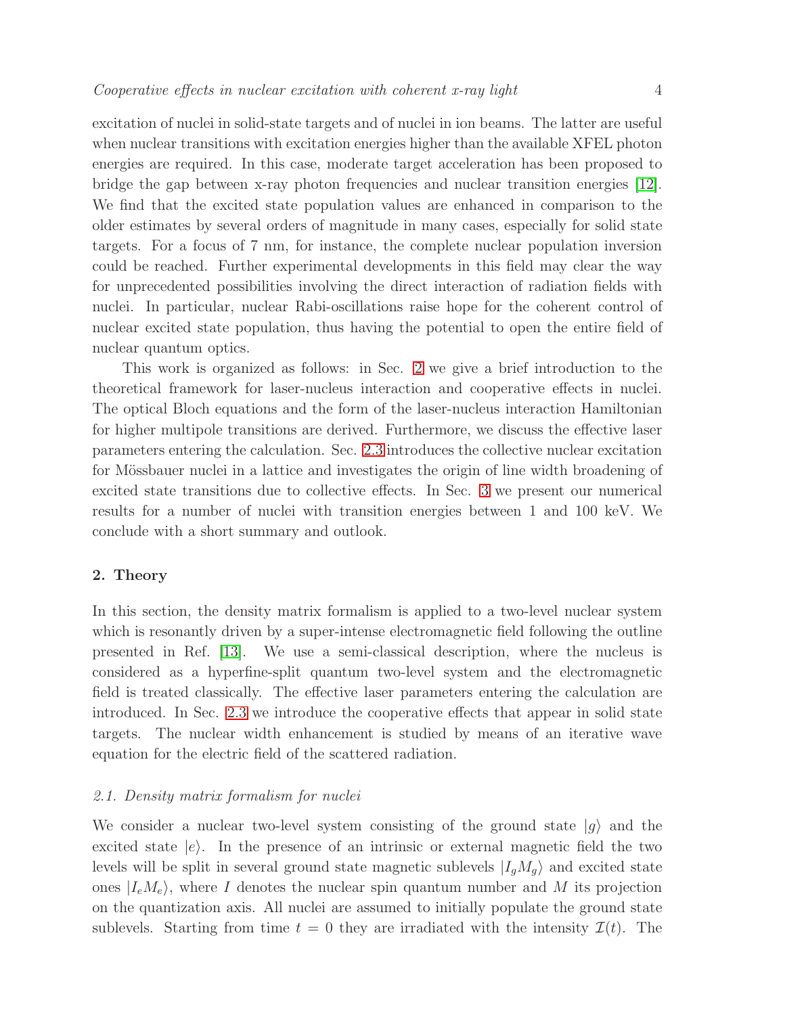excitation of nuclei in solid-state targets and of nuclei in ion beams. The latter are useful when nuclear transitions with excitation energies higher than the available XFEL photon energies are required. In this case, moderate target acceleration has been proposed to bridge the gap between x-ray photon frequencies and nuclear transition energies [\[12\]](#page-18-11). We find that the excited state population values are enhanced in comparison to the older estimates by several orders of magnitude in many cases, especially for solid state targets. For a focus of 7 nm, for instance, the complete nuclear population inversion could be reached. Further experimental developments in this field may clear the way for unprecedented possibilities involving the direct interaction of radiation fields with nuclei. In particular, nuclear Rabi-oscillations raise hope for the coherent control of nuclear excited state population, thus having the potential to open the entire field of nuclear quantum optics.

This work is organized as follows: in Sec. [2](#page-3-0) we give a brief introduction to the theoretical framework for laser-nucleus interaction and cooperative effects in nuclei. The optical Bloch equations and the form of the laser-nucleus interaction Hamiltonian for higher multipole transitions are derived. Furthermore, we discuss the effective laser parameters entering the calculation. Sec. [2.3](#page-6-0) introduces the collective nuclear excitation for Mössbauer nuclei in a lattice and investigates the origin of line width broadening of excited state transitions due to collective effects. In Sec. [3](#page-9-0) we present our numerical results for a number of nuclei with transition energies between 1 and 100 keV. We conclude with a short summary and outlook.

#### <span id="page-3-0"></span>2. Theory

In this section, the density matrix formalism is applied to a two-level nuclear system which is resonantly driven by a super-intense electromagnetic field following the outline presented in Ref. [\[13\]](#page-18-12). We use a semi-classical description, where the nucleus is considered as a hyperfine-split quantum two-level system and the electromagnetic field is treated classically. The effective laser parameters entering the calculation are introduced. In Sec. [2.3](#page-6-0) we introduce the cooperative effects that appear in solid state targets. The nuclear width enhancement is studied by means of an iterative wave equation for the electric field of the scattered radiation.

# 2.1. Density matrix formalism for nuclei

We consider a nuclear two-level system consisting of the ground state  $|q\rangle$  and the excited state  $|e\rangle$ . In the presence of an intrinsic or external magnetic field the two levels will be split in several ground state magnetic sublevels  $|I_qM_q\rangle$  and excited state ones  $|I_eM_e\rangle$ , where I denotes the nuclear spin quantum number and M its projection on the quantization axis. All nuclei are assumed to initially populate the ground state sublevels. Starting from time  $t = 0$  they are irradiated with the intensity  $\mathcal{I}(t)$ . The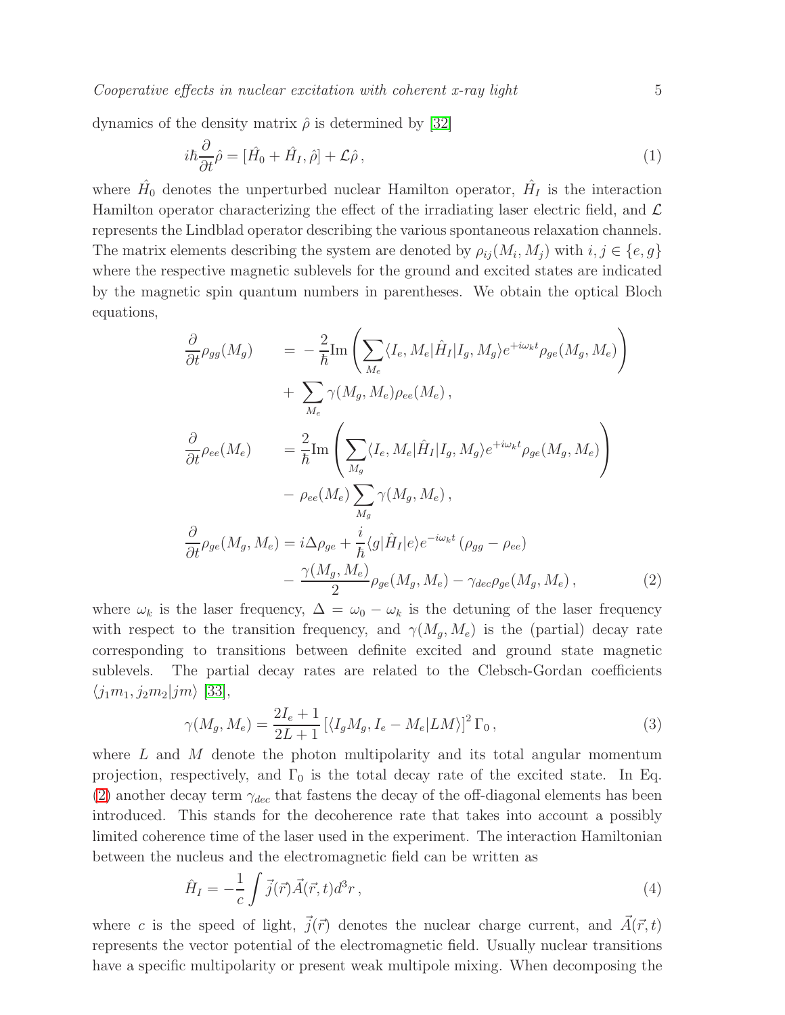$Cooperative$  effects in nuclear excitation with coherent x-ray light  $5$ 

dynamics of the density matrix  $\hat{\rho}$  is determined by [\[32\]](#page-19-12)

$$
i\hbar\frac{\partial}{\partial t}\hat{\rho} = [\hat{H}_0 + \hat{H}_I, \hat{\rho}] + \mathcal{L}\hat{\rho},\tag{1}
$$

where  $\hat{H}_0$  denotes the unperturbed nuclear Hamilton operator,  $\hat{H}_I$  is the interaction Hamilton operator characterizing the effect of the irradiating laser electric field, and  $\mathcal{L}$ represents the Lindblad operator describing the various spontaneous relaxation channels. The matrix elements describing the system are denoted by  $\rho_{ij}(M_i, M_j)$  with  $i, j \in \{e, g\}$ where the respective magnetic sublevels for the ground and excited states are indicated by the magnetic spin quantum numbers in parentheses. We obtain the optical Bloch equations,

<span id="page-4-0"></span>
$$
\frac{\partial}{\partial t}\rho_{gg}(M_g) = -\frac{2}{\hbar}\text{Im}\left(\sum_{M_e} \langle I_e, M_e | \hat{H}_I | I_g, M_g \rangle e^{+i\omega_k t} \rho_{ge}(M_g, M_e)\right) \n+ \sum_{M_e} \gamma(M_g, M_e) \rho_{ee}(M_e),
$$
\n
$$
\frac{\partial}{\partial t} \rho_{ee}(M_e) = \frac{2}{\hbar} \text{Im}\left(\sum_{M_g} \langle I_e, M_e | \hat{H}_I | I_g, M_g \rangle e^{+i\omega_k t} \rho_{ge}(M_g, M_e)\right) \n- \rho_{ee}(M_e) \sum_{M_g} \gamma(M_g, M_e),
$$
\n
$$
\frac{\partial}{\partial t} \rho_{ge}(M_g, M_e) = i\Delta \rho_{ge} + \frac{i}{\hbar} \langle g | \hat{H}_I | e \rangle e^{-i\omega_k t} (\rho_{gg} - \rho_{ee}) \n- \frac{\gamma(M_g, M_e)}{2} \rho_{ge}(M_g, M_e) - \gamma_{dec} \rho_{ge}(M_g, M_e),
$$
\n(2)

where  $\omega_k$  is the laser frequency,  $\Delta = \omega_0 - \omega_k$  is the detuning of the laser frequency with respect to the transition frequency, and  $\gamma(M_g, M_e)$  is the (partial) decay rate corresponding to transitions between definite excited and ground state magnetic sublevels. The partial decay rates are related to the Clebsch-Gordan coefficients  $\langle j_1m_1, j_2m_2|jm\rangle$  [\[33\]](#page-19-13),

$$
\gamma(M_g, M_e) = \frac{2I_e + 1}{2L + 1} \left[ \langle I_g M_g, I_e - M_e | LM \rangle \right]^2 \Gamma_0, \qquad (3)
$$

where  $L$  and  $M$  denote the photon multipolarity and its total angular momentum projection, respectively, and  $\Gamma_0$  is the total decay rate of the excited state. In Eq. [\(2\)](#page-4-0) another decay term  $\gamma_{dec}$  that fastens the decay of the off-diagonal elements has been introduced. This stands for the decoherence rate that takes into account a possibly limited coherence time of the laser used in the experiment. The interaction Hamiltonian between the nucleus and the electromagnetic field can be written as

$$
\hat{H}_I = -\frac{1}{c} \int \vec{j}(\vec{r}) \vec{A}(\vec{r}, t) d^3 r , \qquad (4)
$$

where c is the speed of light,  $\vec{j}(\vec{r})$  denotes the nuclear charge current, and  $\vec{A}(\vec{r}, t)$ represents the vector potential of the electromagnetic field. Usually nuclear transitions have a specific multipolarity or present weak multipole mixing. When decomposing the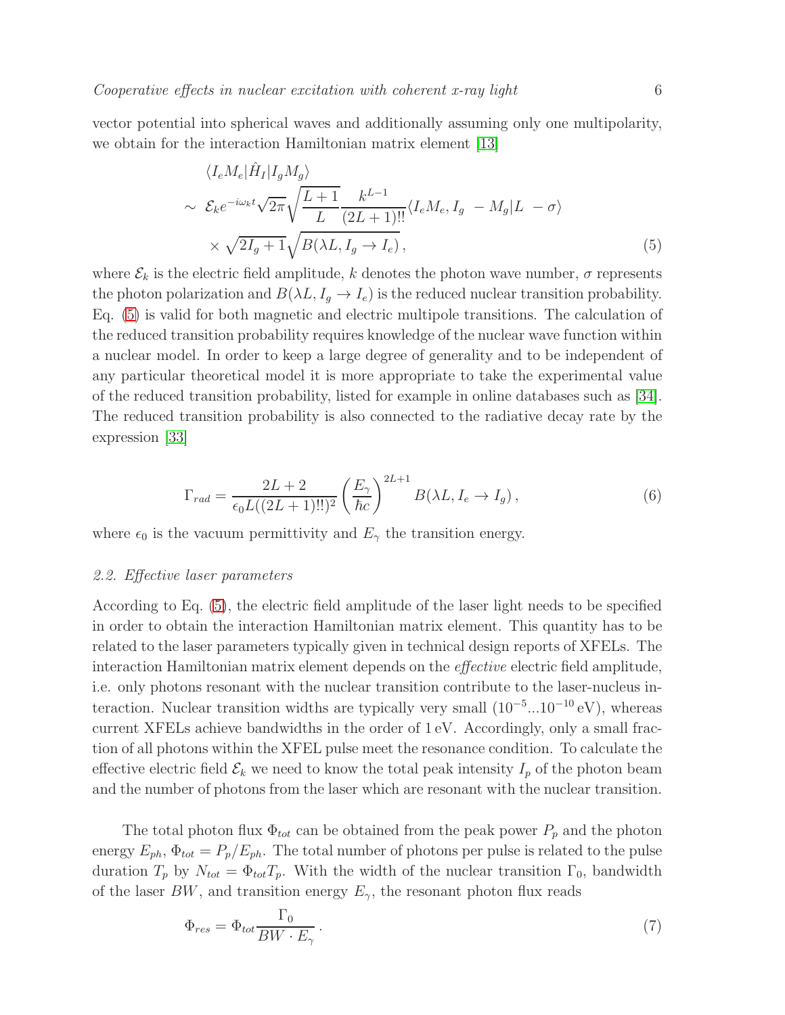vector potential into spherical waves and additionally assuming only one multipolarity, we obtain for the interaction Hamiltonian matrix element [\[13\]](#page-18-12)

<span id="page-5-0"></span>
$$
\langle I_e M_e | \hat{H}_I | I_g M_g \rangle
$$
  
\n
$$
\sim \mathcal{E}_k e^{-i\omega_k t} \sqrt{2\pi} \sqrt{\frac{L+1}{L}} \frac{k^{L-1}}{(2L+1)!!} \langle I_e M_e, I_g - M_g | L - \sigma \rangle
$$
  
\n
$$
\times \sqrt{2I_g + 1} \sqrt{B(\lambda L, I_g \to I_e)},
$$
\n(5)

where  $\mathcal{E}_k$  is the electric field amplitude, k denotes the photon wave number,  $\sigma$  represents the photon polarization and  $B(\lambda L, I_g \to I_e)$  is the reduced nuclear transition probability. Eq. [\(5\)](#page-5-0) is valid for both magnetic and electric multipole transitions. The calculation of the reduced transition probability requires knowledge of the nuclear wave function within a nuclear model. In order to keep a large degree of generality and to be independent of any particular theoretical model it is more appropriate to take the experimental value of the reduced transition probability, listed for example in online databases such as [\[34\]](#page-19-14). The reduced transition probability is also connected to the radiative decay rate by the expression [\[33\]](#page-19-13)

<span id="page-5-3"></span>
$$
\Gamma_{rad} = \frac{2L+2}{\epsilon_0 L((2L+1)!!)^2} \left(\frac{E_\gamma}{\hbar c}\right)^{2L+1} B(\lambda L, I_e \to I_g),\tag{6}
$$

<span id="page-5-2"></span>where  $\epsilon_0$  is the vacuum permittivity and  $E_\gamma$  the transition energy.

#### 2.2. Effective laser parameters

According to Eq. [\(5\)](#page-5-0), the electric field amplitude of the laser light needs to be specified in order to obtain the interaction Hamiltonian matrix element. This quantity has to be related to the laser parameters typically given in technical design reports of XFELs. The interaction Hamiltonian matrix element depends on the effective electric field amplitude, i.e. only photons resonant with the nuclear transition contribute to the laser-nucleus interaction. Nuclear transition widths are typically very small  $(10^{-5}...10^{-10} \text{ eV})$ , whereas current XFELs achieve bandwidths in the order of 1 eV. Accordingly, only a small fraction of all photons within the XFEL pulse meet the resonance condition. To calculate the effective electric field  $\mathcal{E}_k$  we need to know the total peak intensity  $I_p$  of the photon beam and the number of photons from the laser which are resonant with the nuclear transition.

The total photon flux  $\Phi_{tot}$  can be obtained from the peak power  $P_p$  and the photon energy  $E_{ph}$ ,  $\Phi_{tot} = P_p/E_{ph}$ . The total number of photons per pulse is related to the pulse duration  $T_p$  by  $N_{tot} = \Phi_{tot} T_p$ . With the width of the nuclear transition  $\Gamma_0$ , bandwidth of the laser  $BW$ , and transition energy  $E_{\gamma}$ , the resonant photon flux reads

<span id="page-5-1"></span>
$$
\Phi_{res} = \Phi_{tot} \frac{\Gamma_0}{BW \cdot E_\gamma} \,. \tag{7}
$$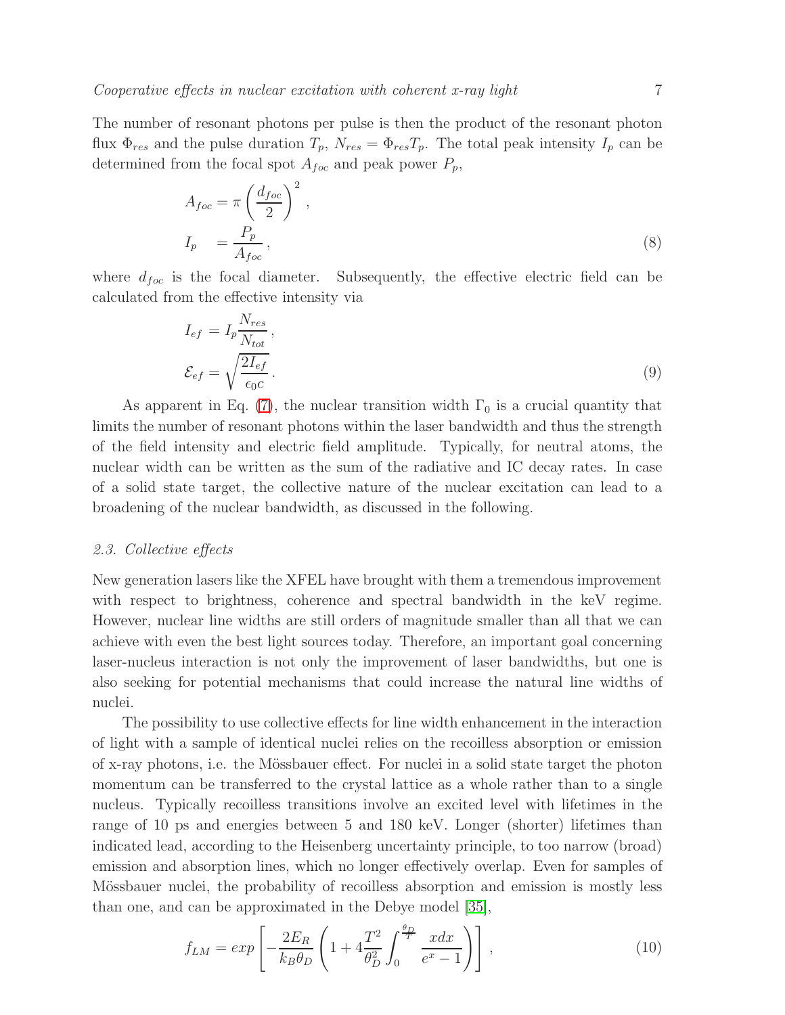The number of resonant photons per pulse is then the product of the resonant photon flux  $\Phi_{res}$  and the pulse duration  $T_p$ ,  $N_{res} = \Phi_{res} T_p$ . The total peak intensity  $I_p$  can be determined from the focal spot  $A_{foc}$  and peak power  $P_p$ ,

$$
A_{foc} = \pi \left(\frac{d_{foc}}{2}\right)^2,
$$
  
\n
$$
I_p = \frac{P_p}{A_{foc}},
$$
\n(8)

where  $d_{foc}$  is the focal diameter. Subsequently, the effective electric field can be calculated from the effective intensity via

$$
I_{ef} = I_p \frac{N_{res}}{N_{tot}},
$$
  

$$
\mathcal{E}_{ef} = \sqrt{\frac{2I_{ef}}{\epsilon_0 c}}.
$$
 (9)

As apparent in Eq. [\(7\)](#page-5-1), the nuclear transition width  $\Gamma_0$  is a crucial quantity that limits the number of resonant photons within the laser bandwidth and thus the strength of the field intensity and electric field amplitude. Typically, for neutral atoms, the nuclear width can be written as the sum of the radiative and IC decay rates. In case of a solid state target, the collective nature of the nuclear excitation can lead to a broadening of the nuclear bandwidth, as discussed in the following.

# <span id="page-6-0"></span>2.3. Collective effects

New generation lasers like the XFEL have brought with them a tremendous improvement with respect to brightness, coherence and spectral bandwidth in the keV regime. However, nuclear line widths are still orders of magnitude smaller than all that we can achieve with even the best light sources today. Therefore, an important goal concerning laser-nucleus interaction is not only the improvement of laser bandwidths, but one is also seeking for potential mechanisms that could increase the natural line widths of nuclei.

The possibility to use collective effects for line width enhancement in the interaction of light with a sample of identical nuclei relies on the recoilless absorption or emission of x-ray photons, i.e. the M¨ossbauer effect. For nuclei in a solid state target the photon momentum can be transferred to the crystal lattice as a whole rather than to a single nucleus. Typically recoilless transitions involve an excited level with lifetimes in the range of 10 ps and energies between 5 and 180 keV. Longer (shorter) lifetimes than indicated lead, according to the Heisenberg uncertainty principle, to too narrow (broad) emission and absorption lines, which no longer effectively overlap. Even for samples of Mössbauer nuclei, the probability of recoilless absorption and emission is mostly less than one, and can be approximated in the Debye model [\[35\]](#page-19-15),

$$
f_{LM} = exp\left[-\frac{2E_R}{k_B \theta_D} \left(1 + 4\frac{T^2}{\theta_D^2} \int_0^{\frac{\theta_D}{T}} \frac{xdx}{e^x - 1}\right)\right],
$$
\n(10)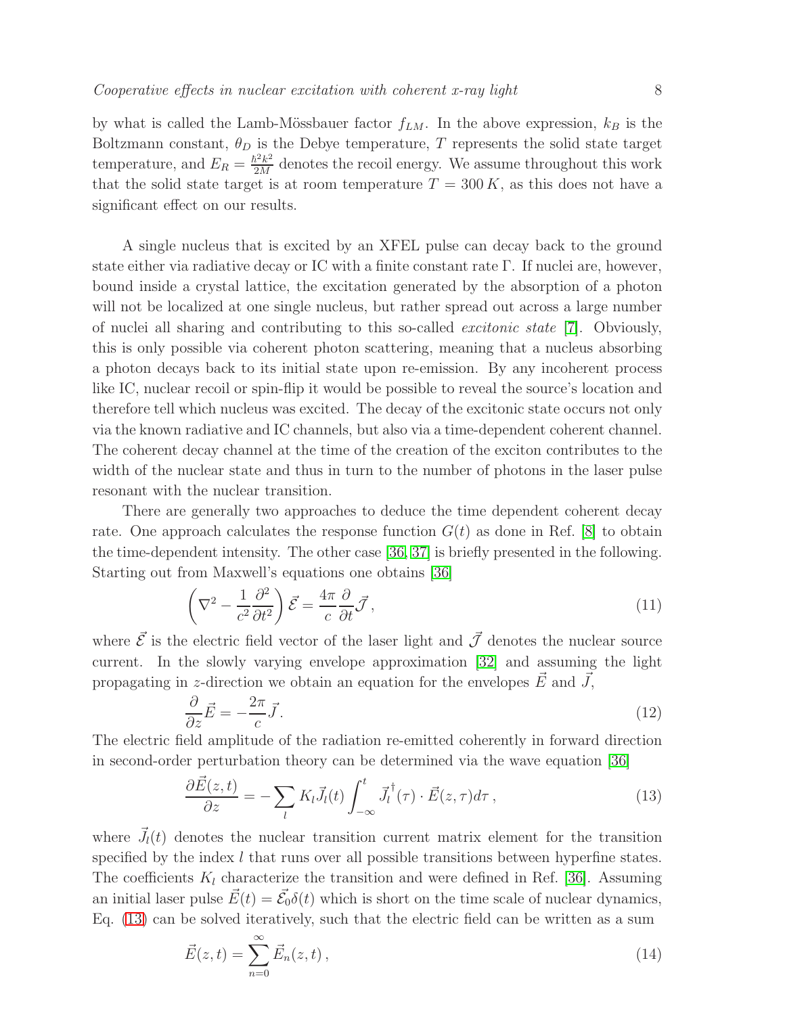by what is called the Lamb-Mössbauer factor  $f_{LM}$ . In the above expression,  $k_B$  is the Boltzmann constant,  $\theta_D$  is the Debye temperature, T represents the solid state target temperature, and  $E_R = \frac{\hbar^2 k^2}{2M}$  $\frac{2M^2}{2M}$  denotes the recoil energy. We assume throughout this work that the solid state target is at room temperature  $T = 300 K$ , as this does not have a significant effect on our results.

A single nucleus that is excited by an XFEL pulse can decay back to the ground state either via radiative decay or IC with a finite constant rate Γ. If nuclei are, however, bound inside a crystal lattice, the excitation generated by the absorption of a photon will not be localized at one single nucleus, but rather spread out across a large number of nuclei all sharing and contributing to this so-called excitonic state [\[7\]](#page-18-6). Obviously, this is only possible via coherent photon scattering, meaning that a nucleus absorbing a photon decays back to its initial state upon re-emission. By any incoherent process like IC, nuclear recoil or spin-flip it would be possible to reveal the source's location and therefore tell which nucleus was excited. The decay of the excitonic state occurs not only via the known radiative and IC channels, but also via a time-dependent coherent channel. The coherent decay channel at the time of the creation of the exciton contributes to the width of the nuclear state and thus in turn to the number of photons in the laser pulse resonant with the nuclear transition.

There are generally two approaches to deduce the time dependent coherent decay rate. One approach calculates the response function  $G(t)$  as done in Ref. [\[8\]](#page-18-7) to obtain the time-dependent intensity. The other case [\[36,](#page-19-16) [37\]](#page-19-17) is briefly presented in the following. Starting out from Maxwell's equations one obtains [\[36\]](#page-19-16)

$$
\left(\nabla^2 - \frac{1}{c^2} \frac{\partial^2}{\partial t^2}\right) \vec{\mathcal{E}} = \frac{4\pi}{c} \frac{\partial}{\partial t} \vec{\mathcal{J}},\tag{11}
$$

where  $\vec{\mathcal{E}}$  is the electric field vector of the laser light and  $\vec{\mathcal{J}}$  denotes the nuclear source current. In the slowly varying envelope approximation [\[32\]](#page-19-12) and assuming the light propagating in z-direction we obtain an equation for the envelopes  $\vec{E}$  and  $\vec{J}$ ,

$$
\frac{\partial}{\partial z}\vec{E} = -\frac{2\pi}{c}\vec{J}.
$$
\n(12)

The electric field amplitude of the radiation re-emitted coherently in forward direction in second-order perturbation theory can be determined via the wave equation [\[36\]](#page-19-16)

<span id="page-7-0"></span>
$$
\frac{\partial \vec{E}(z,t)}{\partial z} = -\sum_{l} K_{l} \vec{J}_{l}(t) \int_{-\infty}^{t} \vec{J}_{l}^{\dagger}(\tau) \cdot \vec{E}(z,\tau) d\tau , \qquad (13)
$$

where  $\vec{J}_l(t)$  denotes the nuclear transition current matrix element for the transition specified by the index  $l$  that runs over all possible transitions between hyperfine states. The coefficients  $K_l$  characterize the transition and were defined in Ref. [\[36\]](#page-19-16). Assuming an initial laser pulse  $\vec{E}(t) = \vec{\mathcal{E}}_0 \delta(t)$  which is short on the time scale of nuclear dynamics, Eq. [\(13\)](#page-7-0) can be solved iteratively, such that the electric field can be written as a sum

$$
\vec{E}(z,t) = \sum_{n=0}^{\infty} \vec{E}_n(z,t) \,, \tag{14}
$$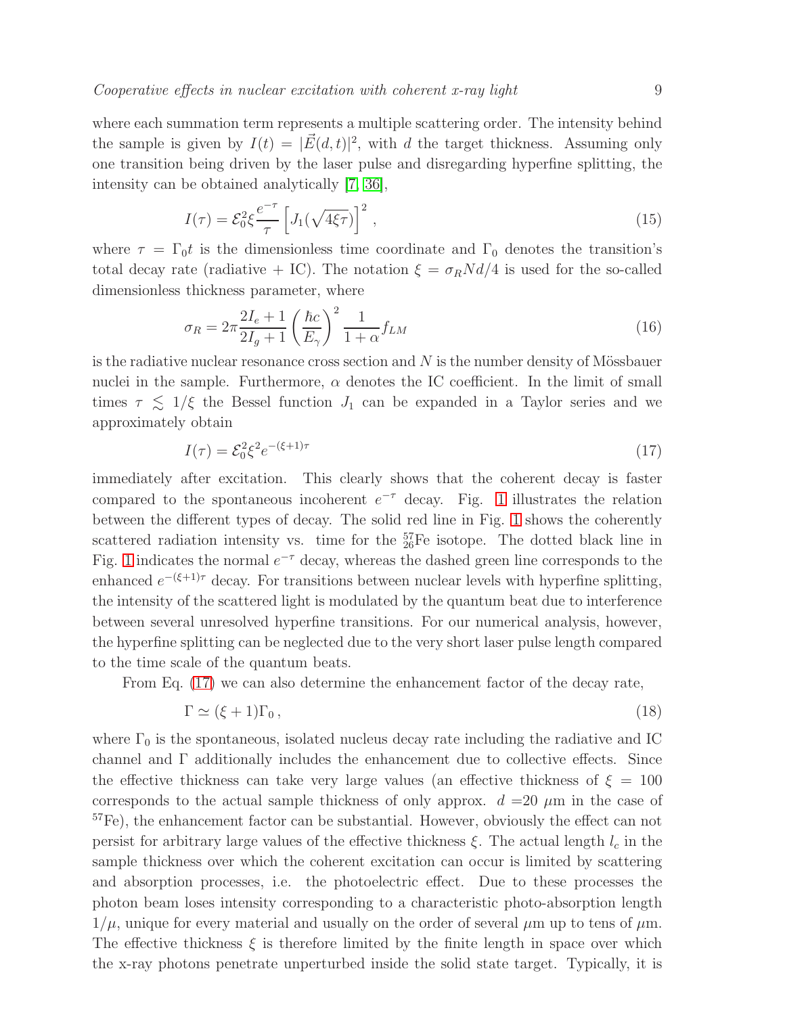where each summation term represents a multiple scattering order. The intensity behind the sample is given by  $I(t) = |\vec{E}(d, t)|^2$ , with d the target thickness. Assuming only one transition being driven by the laser pulse and disregarding hyperfine splitting, the intensity can be obtained analytically [\[7,](#page-18-6) [36\]](#page-19-16),

<span id="page-8-1"></span>
$$
I(\tau) = \mathcal{E}_0^2 \xi \frac{e^{-\tau}}{\tau} \left[ J_1(\sqrt{4\xi \tau}) \right]^2 , \qquad (15)
$$

where  $\tau = \Gamma_0 t$  is the dimensionless time coordinate and  $\Gamma_0$  denotes the transition's total decay rate (radiative + IC). The notation  $\xi = \sigma_R N d/4$  is used for the so-called dimensionless thickness parameter, where

$$
\sigma_R = 2\pi \frac{2I_e + 1}{2I_g + 1} \left(\frac{\hbar c}{E_\gamma}\right)^2 \frac{1}{1 + \alpha} f_{LM}
$$
\n(16)

is the radiative nuclear resonance cross section and  $N$  is the number density of Mössbauer nuclei in the sample. Furthermore,  $\alpha$  denotes the IC coefficient. In the limit of small times  $\tau \lesssim 1/\xi$  the Bessel function  $J_1$  can be expanded in a Taylor series and we approximately obtain

<span id="page-8-0"></span>
$$
I(\tau) = \mathcal{E}_0^2 \xi^2 e^{-(\xi + 1)\tau}
$$
 (17)

immediately after excitation. This clearly shows that the coherent decay is faster compared to the spontaneous incoherent  $e^{-\tau}$  decay. Fig. [1](#page-9-1) illustrates the relation between the different types of decay. The solid red line in Fig. [1](#page-9-1) shows the coherently scattered radiation intensity vs. time for the  $_{26}^{57}$ Fe isotope. The dotted black line in Fig. [1](#page-9-1) indicates the normal  $e^{-\tau}$  decay, whereas the dashed green line corresponds to the enhanced  $e^{-(\xi+1)\tau}$  decay. For transitions between nuclear levels with hyperfine splitting, the intensity of the scattered light is modulated by the quantum beat due to interference between several unresolved hyperfine transitions. For our numerical analysis, however, the hyperfine splitting can be neglected due to the very short laser pulse length compared to the time scale of the quantum beats.

From Eq. [\(17\)](#page-8-0) we can also determine the enhancement factor of the decay rate,

<span id="page-8-2"></span>
$$
\Gamma \simeq (\xi + 1)\Gamma_0 \,,\tag{18}
$$

where  $\Gamma_0$  is the spontaneous, isolated nucleus decay rate including the radiative and IC channel and  $\Gamma$  additionally includes the enhancement due to collective effects. Since the effective thickness can take very large values (an effective thickness of  $\xi = 100$ corresponds to the actual sample thickness of only approx.  $d = 20 \mu m$  in the case of <sup>57</sup>Fe), the enhancement factor can be substantial. However, obviously the effect can not persist for arbitrary large values of the effective thickness  $\xi$ . The actual length  $l_c$  in the sample thickness over which the coherent excitation can occur is limited by scattering and absorption processes, i.e. the photoelectric effect. Due to these processes the photon beam loses intensity corresponding to a characteristic photo-absorption length  $1/\mu$ , unique for every material and usually on the order of several  $\mu$ m up to tens of  $\mu$ m. The effective thickness  $\xi$  is therefore limited by the finite length in space over which the x-ray photons penetrate unperturbed inside the solid state target. Typically, it is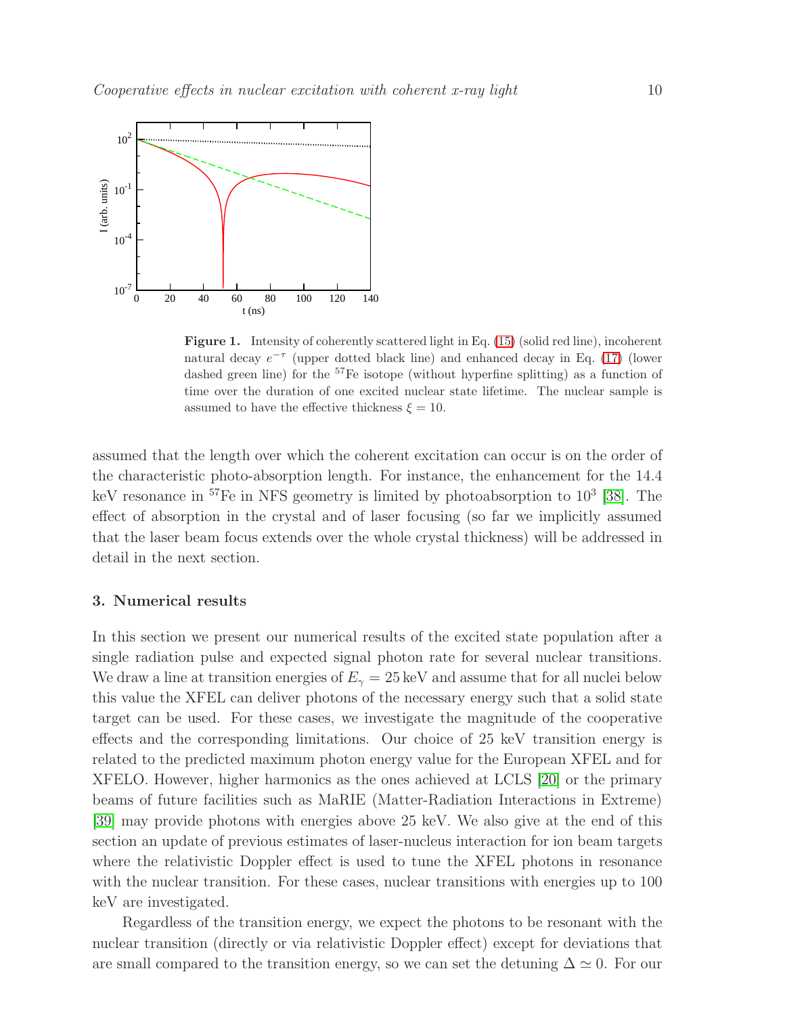

<span id="page-9-1"></span>Figure 1. Intensity of coherently scattered light in Eq. [\(15\)](#page-8-1) (solid red line), incoherent natural decay  $e^{-\tau}$  (upper dotted black line) and enhanced decay in Eq. [\(17\)](#page-8-0) (lower dashed green line) for the  ${}^{57}Fe$  isotope (without hyperfine splitting) as a function of time over the duration of one excited nuclear state lifetime. The nuclear sample is assumed to have the effective thickness  $\xi = 10$ .

assumed that the length over which the coherent excitation can occur is on the order of the characteristic photo-absorption length. For instance, the enhancement for the 14.4 keV resonance in <sup>57</sup>Fe in NFS geometry is limited by photoabsorption to 10<sup>3</sup> [\[38\]](#page-19-18). The effect of absorption in the crystal and of laser focusing (so far we implicitly assumed that the laser beam focus extends over the whole crystal thickness) will be addressed in detail in the next section.

# <span id="page-9-0"></span>3. Numerical results

In this section we present our numerical results of the excited state population after a single radiation pulse and expected signal photon rate for several nuclear transitions. We draw a line at transition energies of  $E_{\gamma} = 25 \,\text{keV}$  and assume that for all nuclei below this value the XFEL can deliver photons of the necessary energy such that a solid state target can be used. For these cases, we investigate the magnitude of the cooperative effects and the corresponding limitations. Our choice of 25 keV transition energy is related to the predicted maximum photon energy value for the European XFEL and for XFELO. However, higher harmonics as the ones achieved at LCLS [\[20\]](#page-19-0) or the primary beams of future facilities such as MaRIE (Matter-Radiation Interactions in Extreme) [\[39\]](#page-19-19) may provide photons with energies above 25 keV. We also give at the end of this section an update of previous estimates of laser-nucleus interaction for ion beam targets where the relativistic Doppler effect is used to tune the XFEL photons in resonance with the nuclear transition. For these cases, nuclear transitions with energies up to 100 keV are investigated.

Regardless of the transition energy, we expect the photons to be resonant with the nuclear transition (directly or via relativistic Doppler effect) except for deviations that are small compared to the transition energy, so we can set the detuning  $\Delta \simeq 0$ . For our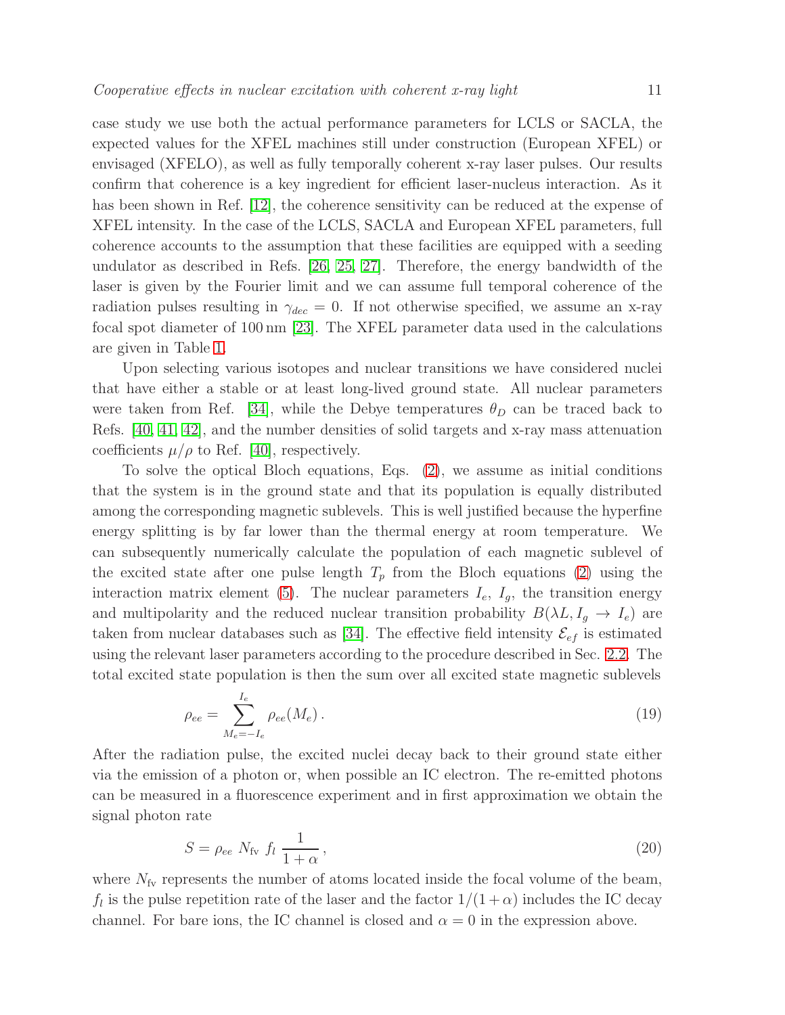case study we use both the actual performance parameters for LCLS or SACLA, the expected values for the XFEL machines still under construction (European XFEL) or envisaged (XFELO), as well as fully temporally coherent x-ray laser pulses. Our results confirm that coherence is a key ingredient for efficient laser-nucleus interaction. As it has been shown in Ref. [\[12\]](#page-18-11), the coherence sensitivity can be reduced at the expense of XFEL intensity. In the case of the LCLS, SACLA and European XFEL parameters, full coherence accounts to the assumption that these facilities are equipped with a seeding undulator as described in Refs. [\[26,](#page-19-6) [25,](#page-19-5) [27\]](#page-19-7). Therefore, the energy bandwidth of the laser is given by the Fourier limit and we can assume full temporal coherence of the radiation pulses resulting in  $\gamma_{dec} = 0$ . If not otherwise specified, we assume an x-ray focal spot diameter of 100 nm [\[23\]](#page-19-3). The XFEL parameter data used in the calculations are given in Table [1.](#page-21-0)

Upon selecting various isotopes and nuclear transitions we have considered nuclei that have either a stable or at least long-lived ground state. All nuclear parameters were taken from Ref. [\[34\]](#page-19-14), while the Debye temperatures  $\theta_D$  can be traced back to Refs. [\[40,](#page-19-20) [41,](#page-19-21) [42\]](#page-19-22), and the number densities of solid targets and x-ray mass attenuation coefficients  $\mu/\rho$  to Ref. [\[40\]](#page-19-20), respectively.

To solve the optical Bloch equations, Eqs. [\(2\)](#page-4-0), we assume as initial conditions that the system is in the ground state and that its population is equally distributed among the corresponding magnetic sublevels. This is well justified because the hyperfine energy splitting is by far lower than the thermal energy at room temperature. We can subsequently numerically calculate the population of each magnetic sublevel of the excited state after one pulse length  $T_p$  from the Bloch equations [\(2\)](#page-4-0) using the interaction matrix element [\(5\)](#page-5-0). The nuclear parameters  $I_e$ ,  $I_g$ , the transition energy and multipolarity and the reduced nuclear transition probability  $B(\lambda L, I_g \rightarrow I_e)$  are taken from nuclear databases such as [\[34\]](#page-19-14). The effective field intensity  $\mathcal{E}_{ef}$  is estimated using the relevant laser parameters according to the procedure described in Sec. [2.2.](#page-5-2) The total excited state population is then the sum over all excited state magnetic sublevels

$$
\rho_{ee} = \sum_{M_e = -I_e}^{I_e} \rho_{ee}(M_e).
$$
\n(19)

After the radiation pulse, the excited nuclei decay back to their ground state either via the emission of a photon or, when possible an IC electron. The re-emitted photons can be measured in a fluorescence experiment and in first approximation we obtain the signal photon rate

<span id="page-10-0"></span>
$$
S = \rho_{ee} N_{\text{fv}} f_l \frac{1}{1+\alpha},\tag{20}
$$

where  $N_{f_v}$  represents the number of atoms located inside the focal volume of the beam,  $f_l$  is the pulse repetition rate of the laser and the factor  $1/(1+\alpha)$  includes the IC decay channel. For bare ions, the IC channel is closed and  $\alpha = 0$  in the expression above.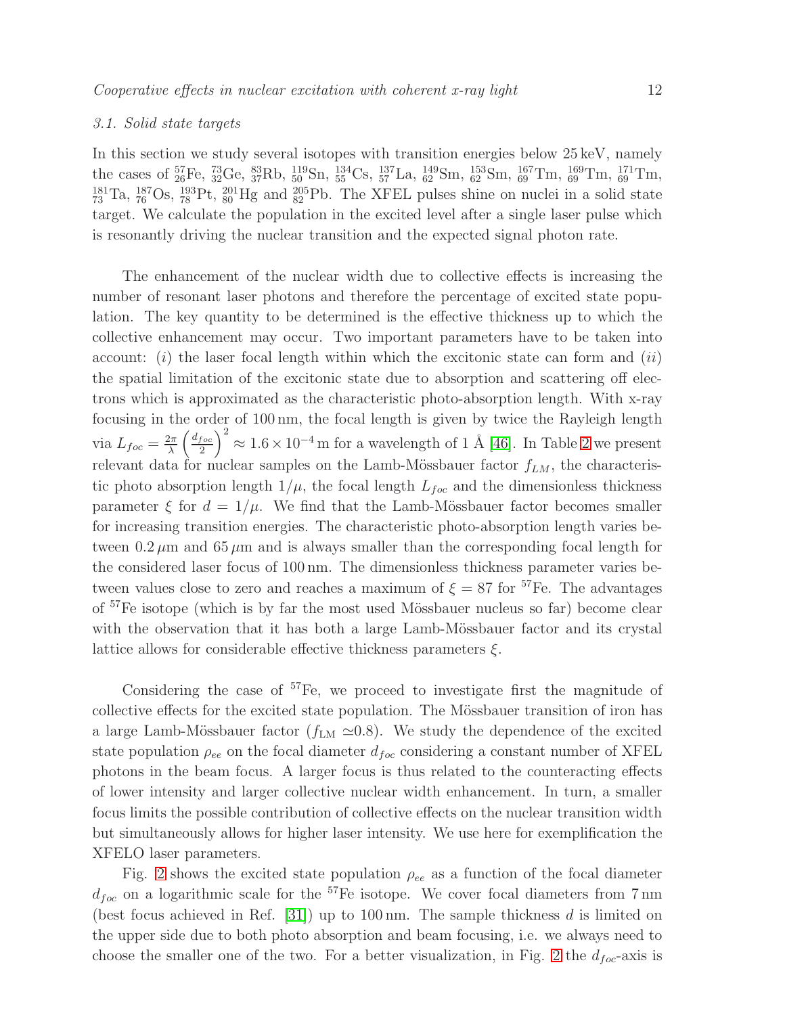## <span id="page-11-0"></span>3.1. Solid state targets

In this section we study several isotopes with transition energies below 25 keV, namely the cases of  ${}^{57}_{26}Fe$ ,  ${}^{73}_{32}Ge$ ,  ${}^{83}_{37}Rb$ ,  ${}^{119}_{50}Sn$ ,  ${}^{134}_{55}Cs$ ,  ${}^{137}_{57}La$ ,  ${}^{149}_{62}Sm$ ,  ${}^{153}_{62}Sm$ ,  ${}^{167}_{69}Tm$ ,  ${}^{169}_{69}Tm$ ,  ${}^{171}_{69}Tm$ ,  $^{181}_{73}$ Ta,  $^{187}_{76}$ Os,  $^{193}_{78}$ Pt,  $^{201}_{80}$ Hg and  $^{205}_{82}$ Pb. The XFEL pulses shine on nuclei in a solid state target. We calculate the population in the excited level after a single laser pulse which is resonantly driving the nuclear transition and the expected signal photon rate.

The enhancement of the nuclear width due to collective effects is increasing the number of resonant laser photons and therefore the percentage of excited state population. The key quantity to be determined is the effective thickness up to which the collective enhancement may occur. Two important parameters have to be taken into account:  $(i)$  the laser focal length within which the excitonic state can form and  $(ii)$ the spatial limitation of the excitonic state due to absorption and scattering off electrons which is approximated as the characteristic photo-absorption length. With x-ray focusing in the order of 100 nm, the focal length is given by twice the Rayleigh length via  $L_{foc} = \frac{2\pi}{\lambda}$  $rac{2\pi}{\lambda}$   $\left(\frac{d_{foc}}{2}\right)$  $\left(\frac{f \circ c}{2}\right)^2 \approx 1.6 \times 10^{-4}$  m for a wavelength of 1 Å [\[46\]](#page-19-23). In Table [2](#page-21-1) we present relevant data for nuclear samples on the Lamb-Mössbauer factor  $f_{LM}$ , the characteristic photo absorption length  $1/\mu$ , the focal length  $L_{foc}$  and the dimensionless thickness parameter  $\xi$  for  $d = 1/\mu$ . We find that the Lamb-Mössbauer factor becomes smaller for increasing transition energies. The characteristic photo-absorption length varies between  $0.2 \mu$ m and  $65 \mu$ m and is always smaller than the corresponding focal length for the considered laser focus of 100 nm. The dimensionless thickness parameter varies between values close to zero and reaches a maximum of  $\xi = 87$  for <sup>57</sup>Fe. The advantages of <sup>57</sup>Fe isotope (which is by far the most used Mössbauer nucleus so far) become clear with the observation that it has both a large Lamb-Mössbauer factor and its crystal lattice allows for considerable effective thickness parameters  $\xi$ .

Considering the case of <sup>57</sup>Fe, we proceed to investigate first the magnitude of collective effects for the excited state population. The Mössbauer transition of iron has a large Lamb-Mössbauer factor ( $f_{LM} \approx 0.8$ ). We study the dependence of the excited state population  $\rho_{ee}$  on the focal diameter  $d_{foc}$  considering a constant number of XFEL photons in the beam focus. A larger focus is thus related to the counteracting effects of lower intensity and larger collective nuclear width enhancement. In turn, a smaller focus limits the possible contribution of collective effects on the nuclear transition width but simultaneously allows for higher laser intensity. We use here for exemplification the XFELO laser parameters.

Fig. [2](#page-12-0) shows the excited state population  $\rho_{ee}$  as a function of the focal diameter  $d_{foc}$  on a logarithmic scale for the <sup>57</sup>Fe isotope. We cover focal diameters from 7 nm (best focus achieved in Ref. [\[31\]](#page-19-11)) up to 100 nm. The sample thickness d is limited on the upper side due to both photo absorption and beam focusing, i.e. we always need to choose the smaller one of the two. For a better visualization, in Fig. [2](#page-12-0) the  $d_{foc}$ -axis is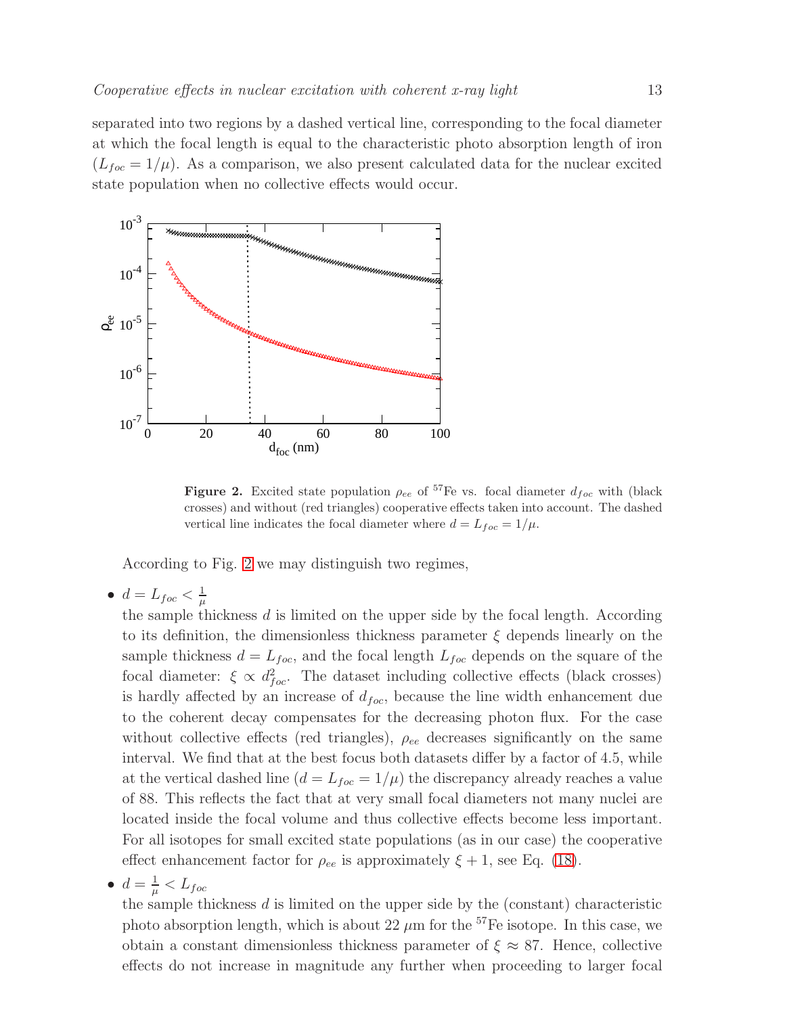separated into two regions by a dashed vertical line, corresponding to the focal diameter at which the focal length is equal to the characteristic photo absorption length of iron  $(L_{foc} = 1/\mu)$ . As a comparison, we also present calculated data for the nuclear excited state population when no collective effects would occur.



<span id="page-12-0"></span>Figure 2. Excited state population  $\rho_{ee}$  of <sup>57</sup>Fe vs. focal diameter  $d_{foc}$  with (black crosses) and without (red triangles) cooperative effects taken into account. The dashed vertical line indicates the focal diameter where  $d = L_{foc} = 1/\mu$ .

According to Fig. [2](#page-12-0) we may distinguish two regimes,

 $\bullet\,\,d=L_{foc}<\frac{1}{\mu}$  $\mu$ 

the sample thickness  $d$  is limited on the upper side by the focal length. According to its definition, the dimensionless thickness parameter  $\xi$  depends linearly on the sample thickness  $d = L_{foc}$ , and the focal length  $L_{foc}$  depends on the square of the focal diameter:  $\xi \propto d_{foc}^2$ . The dataset including collective effects (black crosses) is hardly affected by an increase of  $d_{foc}$ , because the line width enhancement due to the coherent decay compensates for the decreasing photon flux. For the case without collective effects (red triangles),  $\rho_{ee}$  decreases significantly on the same interval. We find that at the best focus both datasets differ by a factor of 4.5, while at the vertical dashed line  $(d = L_{foc} = 1/\mu)$  the discrepancy already reaches a value of 88. This reflects the fact that at very small focal diameters not many nuclei are located inside the focal volume and thus collective effects become less important. For all isotopes for small excited state populations (as in our case) the cooperative effect enhancement factor for  $\rho_{ee}$  is approximately  $\xi + 1$ , see Eq. [\(18\)](#page-8-2).

$$
\bullet\ \ d=\tfrac{1}{\mu}
$$

the sample thickness  $d$  is limited on the upper side by the (constant) characteristic photo absorption length, which is about 22  $\mu$ m for the <sup>57</sup>Fe isotope. In this case, we obtain a constant dimensionless thickness parameter of  $\xi \approx 87$ . Hence, collective effects do not increase in magnitude any further when proceeding to larger focal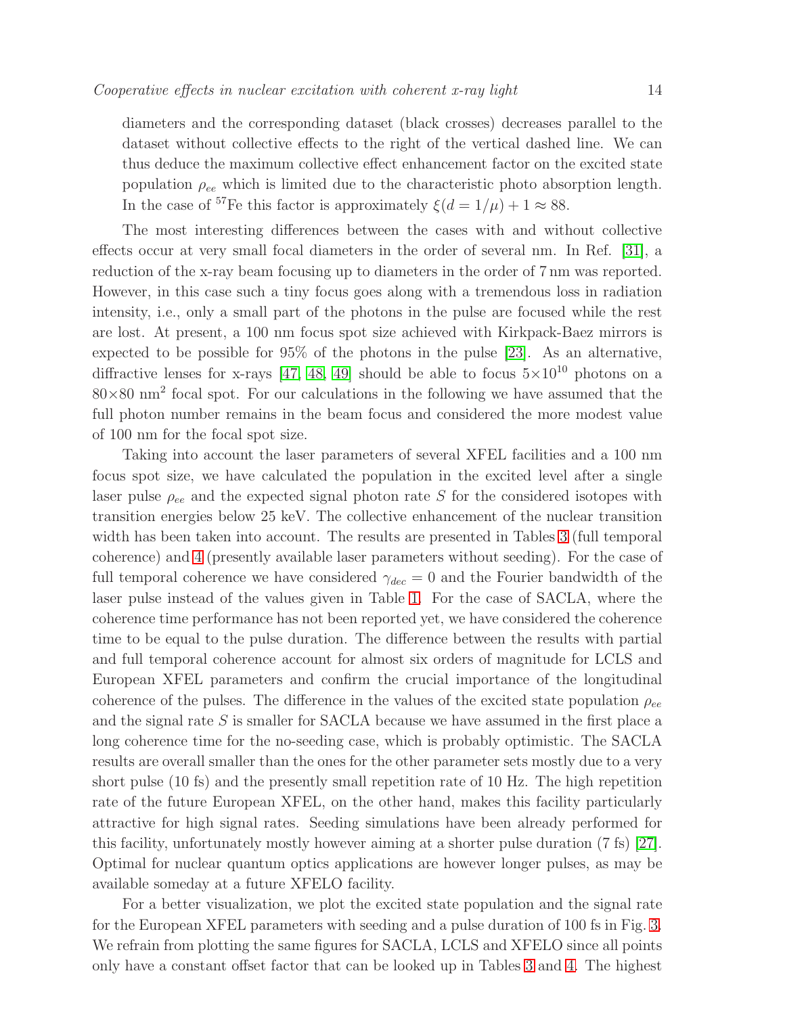diameters and the corresponding dataset (black crosses) decreases parallel to the dataset without collective effects to the right of the vertical dashed line. We can thus deduce the maximum collective effect enhancement factor on the excited state population  $\rho_{ee}$  which is limited due to the characteristic photo absorption length. In the case of <sup>57</sup>Fe this factor is approximately  $\xi(d=1/\mu) + 1 \approx 88$ .

The most interesting differences between the cases with and without collective effects occur at very small focal diameters in the order of several nm. In Ref. [\[31\]](#page-19-11), a reduction of the x-ray beam focusing up to diameters in the order of 7 nm was reported. However, in this case such a tiny focus goes along with a tremendous loss in radiation intensity, i.e., only a small part of the photons in the pulse are focused while the rest are lost. At present, a 100 nm focus spot size achieved with Kirkpack-Baez mirrors is expected to be possible for  $95\%$  of the photons in the pulse [\[23\]](#page-19-3). As an alternative, diffractive lenses for x-rays [\[47,](#page-19-24) [48,](#page-19-25) [49\]](#page-19-26) should be able to focus  $5\times10^{10}$  photons on a  $80\times80$  nm<sup>2</sup> focal spot. For our calculations in the following we have assumed that the full photon number remains in the beam focus and considered the more modest value of 100 nm for the focal spot size.

Taking into account the laser parameters of several XFEL facilities and a 100 nm focus spot size, we have calculated the population in the excited level after a single laser pulse  $\rho_{ee}$  and the expected signal photon rate S for the considered isotopes with transition energies below 25 keV. The collective enhancement of the nuclear transition width has been taken into account. The results are presented in Tables [3](#page-22-0) (full temporal coherence) and [4](#page-22-1) (presently available laser parameters without seeding). For the case of full temporal coherence we have considered  $\gamma_{dec} = 0$  and the Fourier bandwidth of the laser pulse instead of the values given in Table [1.](#page-21-0) For the case of SACLA, where the coherence time performance has not been reported yet, we have considered the coherence time to be equal to the pulse duration. The difference between the results with partial and full temporal coherence account for almost six orders of magnitude for LCLS and European XFEL parameters and confirm the crucial importance of the longitudinal coherence of the pulses. The difference in the values of the excited state population  $\rho_{ee}$ and the signal rate  $S$  is smaller for SACLA because we have assumed in the first place a long coherence time for the no-seeding case, which is probably optimistic. The SACLA results are overall smaller than the ones for the other parameter sets mostly due to a very short pulse (10 fs) and the presently small repetition rate of 10 Hz. The high repetition rate of the future European XFEL, on the other hand, makes this facility particularly attractive for high signal rates. Seeding simulations have been already performed for this facility, unfortunately mostly however aiming at a shorter pulse duration (7 fs) [\[27\]](#page-19-7). Optimal for nuclear quantum optics applications are however longer pulses, as may be available someday at a future XFELO facility.

For a better visualization, we plot the excited state population and the signal rate for the European XFEL parameters with seeding and a pulse duration of 100 fs in Fig. [3.](#page-14-0) We refrain from plotting the same figures for SACLA, LCLS and XFELO since all points only have a constant offset factor that can be looked up in Tables [3](#page-22-0) and [4.](#page-22-1) The highest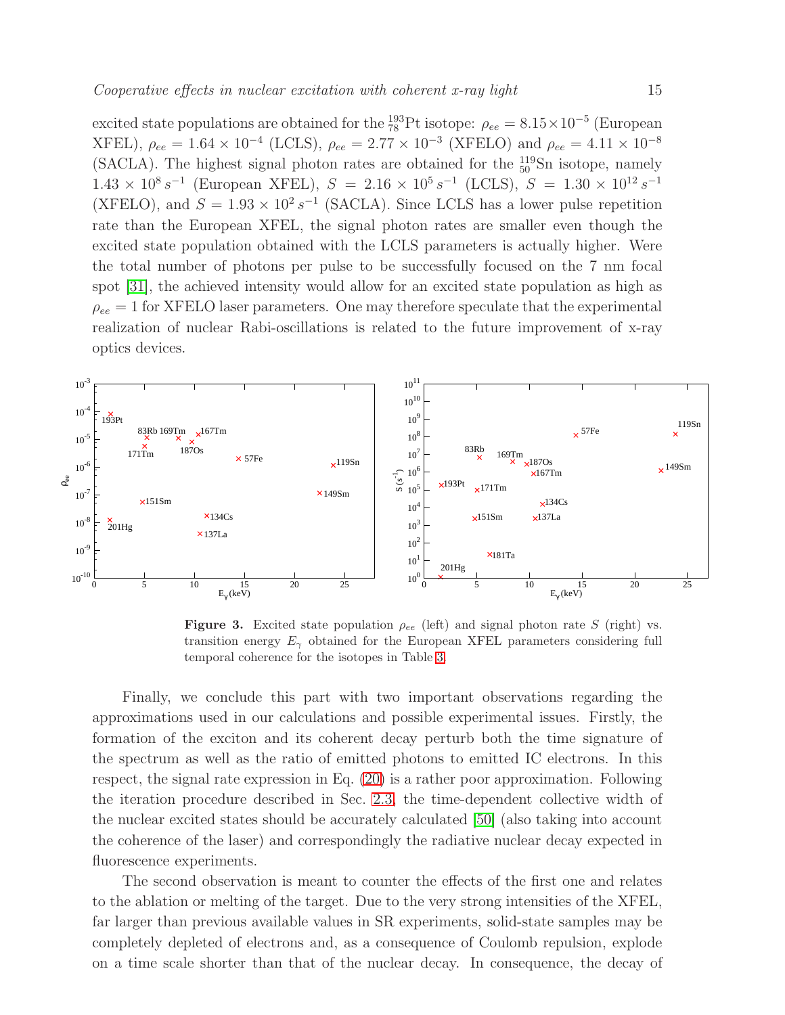excited state populations are obtained for the  $^{193}_{78}$ Pt isotope:  $\rho_{ee} = 8.15 \times 10^{-5}$  (European XFEL),  $\rho_{ee} = 1.64 \times 10^{-4}$  (LCLS),  $\rho_{ee} = 2.77 \times 10^{-3}$  (XFELO) and  $\rho_{ee} = 4.11 \times 10^{-8}$ (SACLA). The highest signal photon rates are obtained for the  $^{119}_{50}$ Sn isotope, namely  $1.43 \times 10^8 s^{-1}$  (European XFEL),  $S = 2.16 \times 10^5 s^{-1}$  (LCLS),  $S = 1.30 \times 10^{12} s^{-1}$ (XFELO), and  $S = 1.93 \times 10^2 s^{-1}$  (SACLA). Since LCLS has a lower pulse repetition rate than the European XFEL, the signal photon rates are smaller even though the excited state population obtained with the LCLS parameters is actually higher. Were the total number of photons per pulse to be successfully focused on the 7 nm focal spot [\[31\]](#page-19-11), the achieved intensity would allow for an excited state population as high as  $\rho_{ee} = 1$  for XFELO laser parameters. One may therefore speculate that the experimental realization of nuclear Rabi-oscillations is related to the future improvement of x-ray optics devices.



<span id="page-14-0"></span>**Figure 3.** Excited state population  $\rho_{ee}$  (left) and signal photon rate S (right) vs. transition energy  $E_{\gamma}$  obtained for the European XFEL parameters considering full temporal coherence for the isotopes in Table [3.](#page-22-0)

Finally, we conclude this part with two important observations regarding the approximations used in our calculations and possible experimental issues. Firstly, the formation of the exciton and its coherent decay perturb both the time signature of the spectrum as well as the ratio of emitted photons to emitted IC electrons. In this respect, the signal rate expression in Eq. [\(20\)](#page-10-0) is a rather poor approximation. Following the iteration procedure described in Sec. [2.3,](#page-6-0) the time-dependent collective width of the nuclear excited states should be accurately calculated [\[50\]](#page-19-27) (also taking into account the coherence of the laser) and correspondingly the radiative nuclear decay expected in fluorescence experiments.

The second observation is meant to counter the effects of the first one and relates to the ablation or melting of the target. Due to the very strong intensities of the XFEL, far larger than previous available values in SR experiments, solid-state samples may be completely depleted of electrons and, as a consequence of Coulomb repulsion, explode on a time scale shorter than that of the nuclear decay. In consequence, the decay of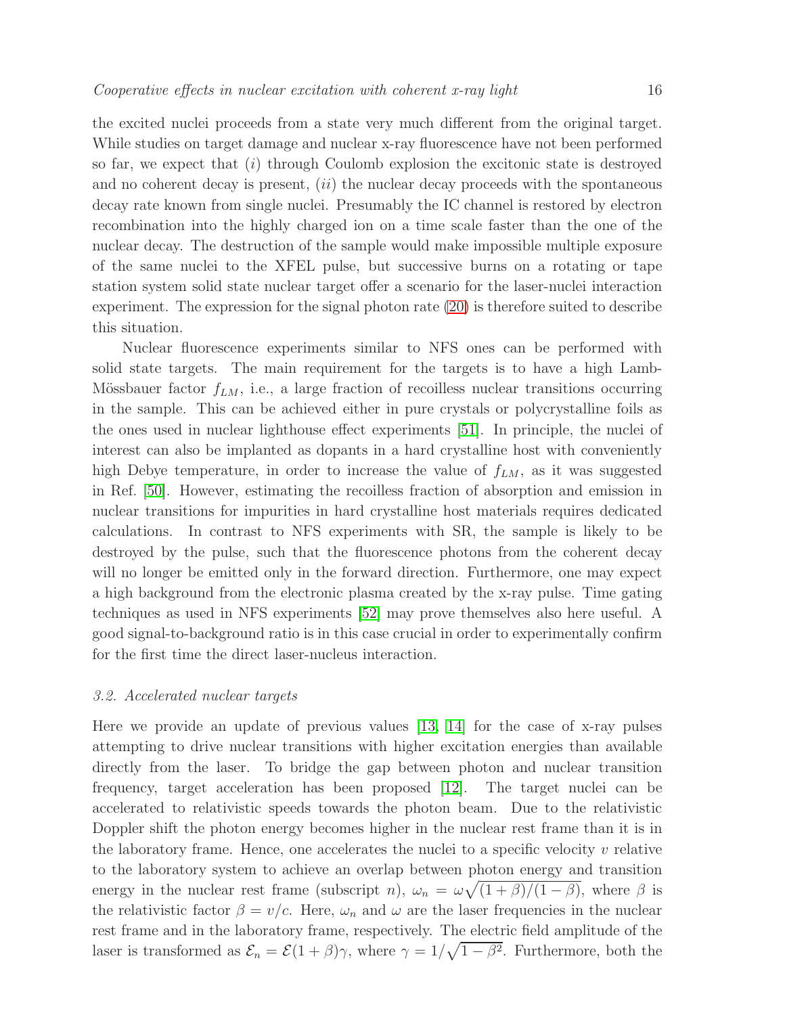the excited nuclei proceeds from a state very much different from the original target. While studies on target damage and nuclear x-ray fluorescence have not been performed so far, we expect that  $(i)$  through Coulomb explosion the excitonic state is destroyed and no coherent decay is present,  $(ii)$  the nuclear decay proceeds with the spontaneous decay rate known from single nuclei. Presumably the IC channel is restored by electron recombination into the highly charged ion on a time scale faster than the one of the nuclear decay. The destruction of the sample would make impossible multiple exposure of the same nuclei to the XFEL pulse, but successive burns on a rotating or tape station system solid state nuclear target offer a scenario for the laser-nuclei interaction experiment. The expression for the signal photon rate [\(20\)](#page-10-0) is therefore suited to describe this situation.

Nuclear fluorescence experiments similar to NFS ones can be performed with solid state targets. The main requirement for the targets is to have a high Lamb-Mössbauer factor  $f_{LM}$ , i.e., a large fraction of recoilless nuclear transitions occurring in the sample. This can be achieved either in pure crystals or polycrystalline foils as the ones used in nuclear lighthouse effect experiments [\[51\]](#page-19-28). In principle, the nuclei of interest can also be implanted as dopants in a hard crystalline host with conveniently high Debye temperature, in order to increase the value of  $f_{LM}$ , as it was suggested in Ref. [\[50\]](#page-19-27). However, estimating the recoilless fraction of absorption and emission in nuclear transitions for impurities in hard crystalline host materials requires dedicated calculations. In contrast to NFS experiments with SR, the sample is likely to be destroyed by the pulse, such that the fluorescence photons from the coherent decay will no longer be emitted only in the forward direction. Furthermore, one may expect a high background from the electronic plasma created by the x-ray pulse. Time gating techniques as used in NFS experiments [\[52\]](#page-19-29) may prove themselves also here useful. A good signal-to-background ratio is in this case crucial in order to experimentally confirm for the first time the direct laser-nucleus interaction.

### 3.2. Accelerated nuclear targets

Here we provide an update of previous values  $[13, 14]$  $[13, 14]$  for the case of x-ray pulses attempting to drive nuclear transitions with higher excitation energies than available directly from the laser. To bridge the gap between photon and nuclear transition frequency, target acceleration has been proposed [\[12\]](#page-18-11). The target nuclei can be accelerated to relativistic speeds towards the photon beam. Due to the relativistic Doppler shift the photon energy becomes higher in the nuclear rest frame than it is in the laboratory frame. Hence, one accelerates the nuclei to a specific velocity  $v$  relative to the laboratory system to achieve an overlap between photon energy and transition energy in the nuclear rest frame (subscript *n*),  $\omega_n = \omega \sqrt{\frac{(1+\beta)}{(1-\beta)}}$ , where  $\beta$  is the relativistic factor  $\beta = v/c$ . Here,  $\omega_n$  and  $\omega$  are the laser frequencies in the nuclear rest frame and in the laboratory frame, respectively. The electric field amplitude of the laser is transformed as  $\mathcal{E}_n = \mathcal{E}(1+\beta)\gamma$ , where  $\gamma = 1/\sqrt{1-\beta^2}$ . Furthermore, both the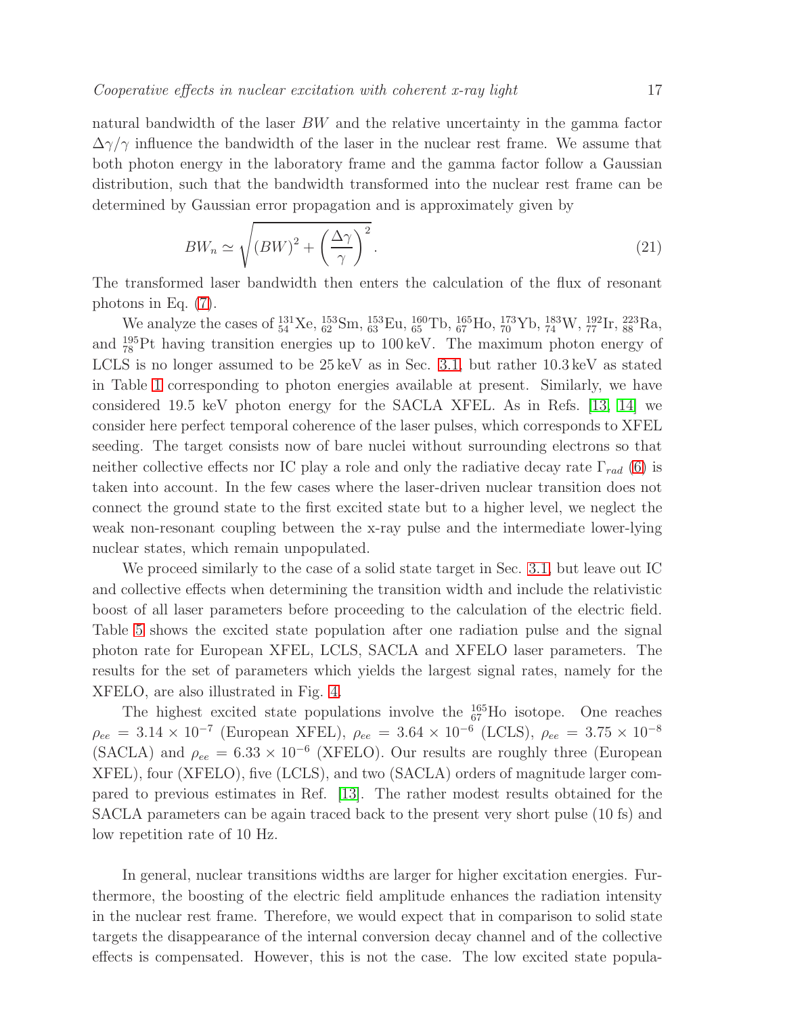natural bandwidth of the laser BW and the relative uncertainty in the gamma factor  $\Delta\gamma/\gamma$  influence the bandwidth of the laser in the nuclear rest frame. We assume that both photon energy in the laboratory frame and the gamma factor follow a Gaussian distribution, such that the bandwidth transformed into the nuclear rest frame can be determined by Gaussian error propagation and is approximately given by

<span id="page-16-0"></span>
$$
BW_n \simeq \sqrt{\left(BW\right)^2 + \left(\frac{\Delta\gamma}{\gamma}\right)^2}.
$$
\n(21)

The transformed laser bandwidth then enters the calculation of the flux of resonant photons in Eq. [\(7\)](#page-5-1).

We analyze the cases of  $^{131}_{54}$ Xe,  $^{153}_{62}$ Sm,  $^{153}_{63}$ Eu,  $^{160}_{65}$ Tb,  $^{165}_{67}$ Ho,  $^{173}_{70}$ Yb,  $^{183}_{74}$ W,  $^{192}_{77}$ Ir,  $^{223}_{88}$ Ra, and <sup>195</sup> <sup>78</sup> Pt having transition energies up to 100 keV. The maximum photon energy of LCLS is no longer assumed to be 25 keV as in Sec. [3.1,](#page-11-0) but rather 10.3 keV as stated in Table [1](#page-21-0) corresponding to photon energies available at present. Similarly, we have considered 19.5 keV photon energy for the SACLA XFEL. As in Refs. [\[13,](#page-18-12) [14\]](#page-18-13) we consider here perfect temporal coherence of the laser pulses, which corresponds to XFEL seeding. The target consists now of bare nuclei without surrounding electrons so that neither collective effects nor IC play a role and only the radiative decay rate  $\Gamma_{rad}$  [\(6\)](#page-5-3) is taken into account. In the few cases where the laser-driven nuclear transition does not connect the ground state to the first excited state but to a higher level, we neglect the weak non-resonant coupling between the x-ray pulse and the intermediate lower-lying nuclear states, which remain unpopulated.

We proceed similarly to the case of a solid state target in Sec. [3.1,](#page-11-0) but leave out IC and collective effects when determining the transition width and include the relativistic boost of all laser parameters before proceeding to the calculation of the electric field. Table [5](#page-23-0) shows the excited state population after one radiation pulse and the signal photon rate for European XFEL, LCLS, SACLA and XFELO laser parameters. The results for the set of parameters which yields the largest signal rates, namely for the XFELO, are also illustrated in Fig. [4.](#page-17-0)

The highest excited state populations involve the  $^{165}_{67}$  Ho isotope. One reaches  $\rho_{ee} = 3.14 \times 10^{-7}$  (European XFEL),  $\rho_{ee} = 3.64 \times 10^{-6}$  (LCLS),  $\rho_{ee} = 3.75 \times 10^{-8}$ (SACLA) and  $\rho_{ee} = 6.33 \times 10^{-6}$  (XFELO). Our results are roughly three (European XFEL), four (XFELO), five (LCLS), and two (SACLA) orders of magnitude larger compared to previous estimates in Ref. [\[13\]](#page-18-12). The rather modest results obtained for the SACLA parameters can be again traced back to the present very short pulse (10 fs) and low repetition rate of 10 Hz.

In general, nuclear transitions widths are larger for higher excitation energies. Furthermore, the boosting of the electric field amplitude enhances the radiation intensity in the nuclear rest frame. Therefore, we would expect that in comparison to solid state targets the disappearance of the internal conversion decay channel and of the collective effects is compensated. However, this is not the case. The low excited state popula-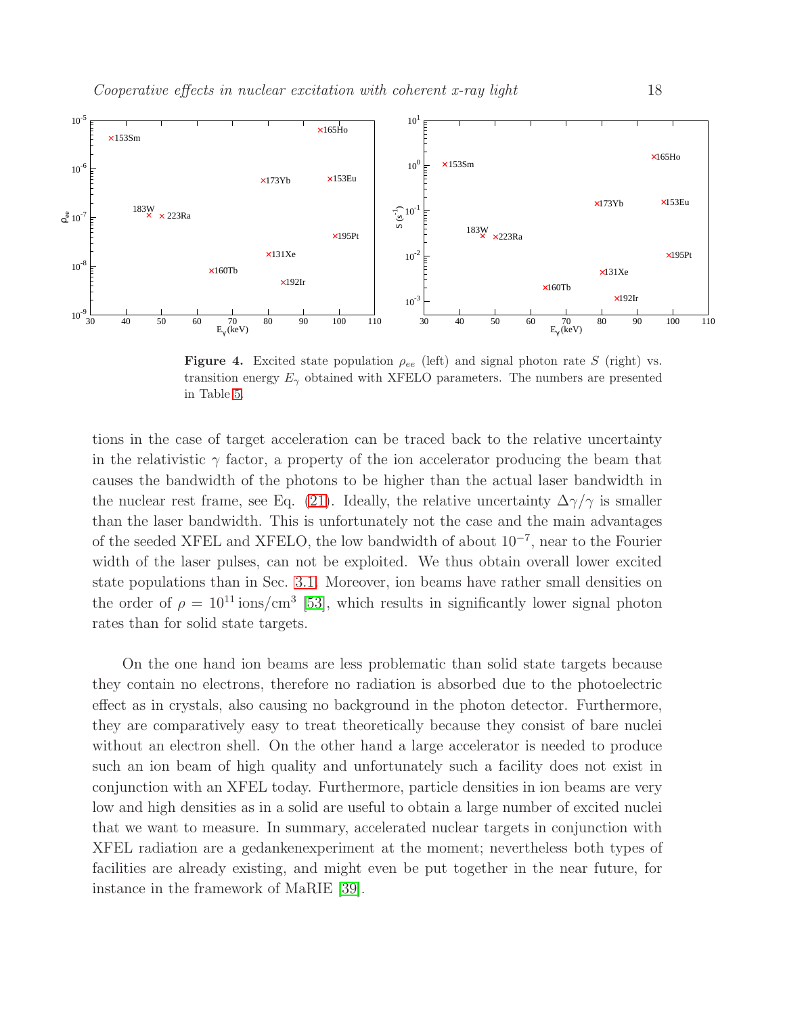

<span id="page-17-0"></span>Figure 4. Excited state population  $\rho_{ee}$  (left) and signal photon rate S (right) vs. transition energy  $E_{\gamma}$  obtained with XFELO parameters. The numbers are presented in Table [5.](#page-23-0)

tions in the case of target acceleration can be traced back to the relative uncertainty in the relativistic  $\gamma$  factor, a property of the ion accelerator producing the beam that causes the bandwidth of the photons to be higher than the actual laser bandwidth in the nuclear rest frame, see Eq. [\(21\)](#page-16-0). Ideally, the relative uncertainty  $\Delta\gamma/\gamma$  is smaller than the laser bandwidth. This is unfortunately not the case and the main advantages of the seeded XFEL and XFELO, the low bandwidth of about 10<sup>−</sup><sup>7</sup> , near to the Fourier width of the laser pulses, can not be exploited. We thus obtain overall lower excited state populations than in Sec. [3.1.](#page-11-0) Moreover, ion beams have rather small densities on the order of  $\rho = 10^{11}$  ions/cm<sup>3</sup> [\[53\]](#page-19-30), which results in significantly lower signal photon rates than for solid state targets.

On the one hand ion beams are less problematic than solid state targets because they contain no electrons, therefore no radiation is absorbed due to the photoelectric effect as in crystals, also causing no background in the photon detector. Furthermore, they are comparatively easy to treat theoretically because they consist of bare nuclei without an electron shell. On the other hand a large accelerator is needed to produce such an ion beam of high quality and unfortunately such a facility does not exist in conjunction with an XFEL today. Furthermore, particle densities in ion beams are very low and high densities as in a solid are useful to obtain a large number of excited nuclei that we want to measure. In summary, accelerated nuclear targets in conjunction with XFEL radiation are a gedankenexperiment at the moment; nevertheless both types of facilities are already existing, and might even be put together in the near future, for instance in the framework of MaRIE [\[39\]](#page-19-19).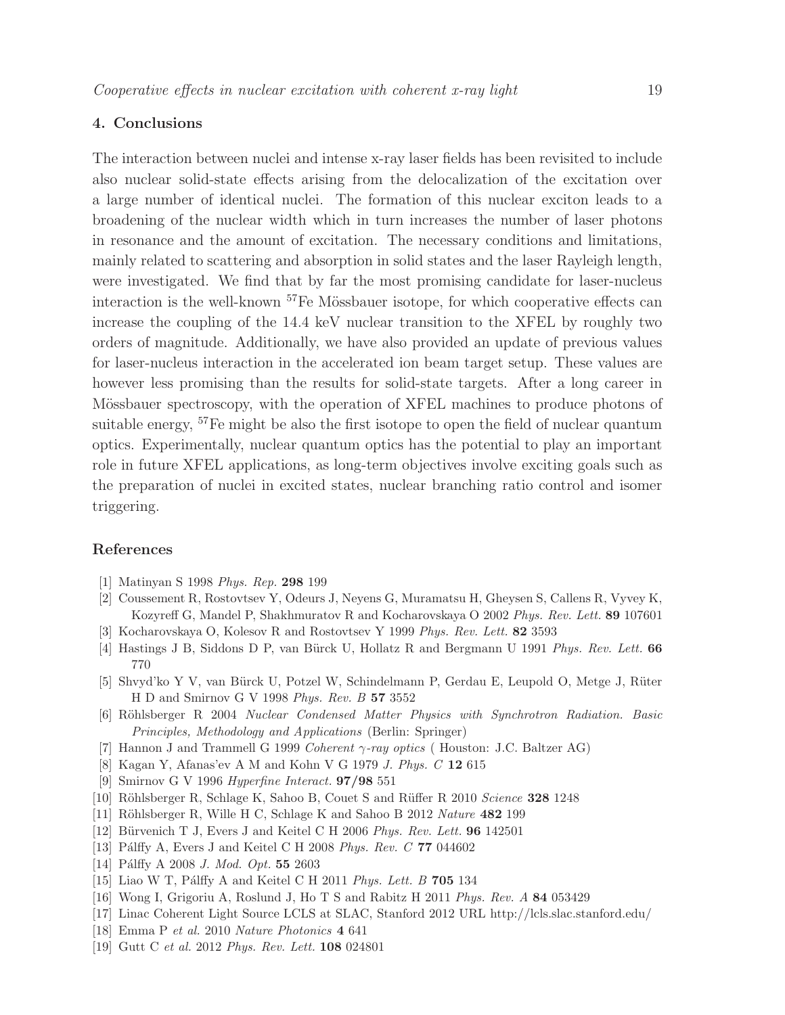# 4. Conclusions

The interaction between nuclei and intense x-ray laser fields has been revisited to include also nuclear solid-state effects arising from the delocalization of the excitation over a large number of identical nuclei. The formation of this nuclear exciton leads to a broadening of the nuclear width which in turn increases the number of laser photons in resonance and the amount of excitation. The necessary conditions and limitations, mainly related to scattering and absorption in solid states and the laser Rayleigh length, were investigated. We find that by far the most promising candidate for laser-nucleus interaction is the well-known  ${}^{57}Fe$  Mössbauer isotope, for which cooperative effects can increase the coupling of the 14.4 keV nuclear transition to the XFEL by roughly two orders of magnitude. Additionally, we have also provided an update of previous values for laser-nucleus interaction in the accelerated ion beam target setup. These values are however less promising than the results for solid-state targets. After a long career in Mössbauer spectroscopy, with the operation of XFEL machines to produce photons of suitable energy, <sup>57</sup>Fe might be also the first isotope to open the field of nuclear quantum optics. Experimentally, nuclear quantum optics has the potential to play an important role in future XFEL applications, as long-term objectives involve exciting goals such as the preparation of nuclei in excited states, nuclear branching ratio control and isomer triggering.

# <span id="page-18-0"></span>References

- <span id="page-18-1"></span>[1] Matinyan S 1998 *Phys. Rep.* 298 199
- <span id="page-18-2"></span>[2] Coussement R, Rostovtsev Y, Odeurs J, Neyens G, Muramatsu H, Gheysen S, Callens R, Vyvey K, Kozyreff G, Mandel P, Shakhmuratov R and Kocharovskaya O 2002 *Phys. Rev. Lett.* 89 107601
- <span id="page-18-3"></span>[3] Kocharovskaya O, Kolesov R and Rostovtsev Y 1999 *Phys. Rev. Lett.* 82 3593
- <span id="page-18-4"></span>[4] Hastings J B, Siddons D P, van Bürck U, Hollatz R and Bergmann U 1991 *Phys. Rev. Lett.* 66 770
- [5] Shvyd'ko Y V, van Bürck U, Potzel W, Schindelmann P, Gerdau E, Leupold O, Metge J, Rüter H D and Smirnov G V 1998 *Phys. Rev. B* 57 3552
- <span id="page-18-6"></span><span id="page-18-5"></span>[6] R¨ohlsberger R 2004 *Nuclear Condensed Matter Physics with Synchrotron Radiation. Basic Principles, Methodology and Applications* (Berlin: Springer)
- <span id="page-18-7"></span>[7] Hannon J and Trammell G 1999 *Coherent* γ*-ray optics* ( Houston: J.C. Baltzer AG)
- <span id="page-18-8"></span>[8] Kagan Y, Afanas'ev A M and Kohn V G 1979 *J. Phys. C* 12 615
- <span id="page-18-9"></span>[9] Smirnov G V 1996 *Hyperfine Interact.* 97/98 551
- <span id="page-18-10"></span>[10] R¨ohlsberger R, Schlage K, Sahoo B, Couet S and R¨uffer R 2010 *Science* 328 1248
- <span id="page-18-11"></span>[11] R¨ohlsberger R, Wille H C, Schlage K and Sahoo B 2012 *Nature* 482 199
- <span id="page-18-12"></span>[12] Bürvenich T J, Evers J and Keitel C H 2006 *Phys. Rev. Lett.* **96** 142501
- <span id="page-18-13"></span>[13] Pálffy A, Evers J and Keitel C H 2008 *Phys. Rev. C* 77 044602
- <span id="page-18-14"></span>[14] Pálffy A 2008 *J. Mod. Opt.* **55** 2603
- <span id="page-18-15"></span>[15] Liao W T, Pálffy A and Keitel C H 2011 *Phys. Lett. B* 705 134
- <span id="page-18-16"></span>[16] Wong I, Grigoriu A, Roslund J, Ho T S and Rabitz H 2011 *Phys. Rev. A* 84 053429
- <span id="page-18-17"></span>[17] Linac Coherent Light Source LCLS at SLAC, Stanford 2012 URL http://lcls.slac.stanford.edu/
- <span id="page-18-18"></span>[18] Emma P *et al.* 2010 *Nature Photonics* 4 641
- [19] Gutt C *et al.* 2012 *Phys. Rev. Lett.* 108 024801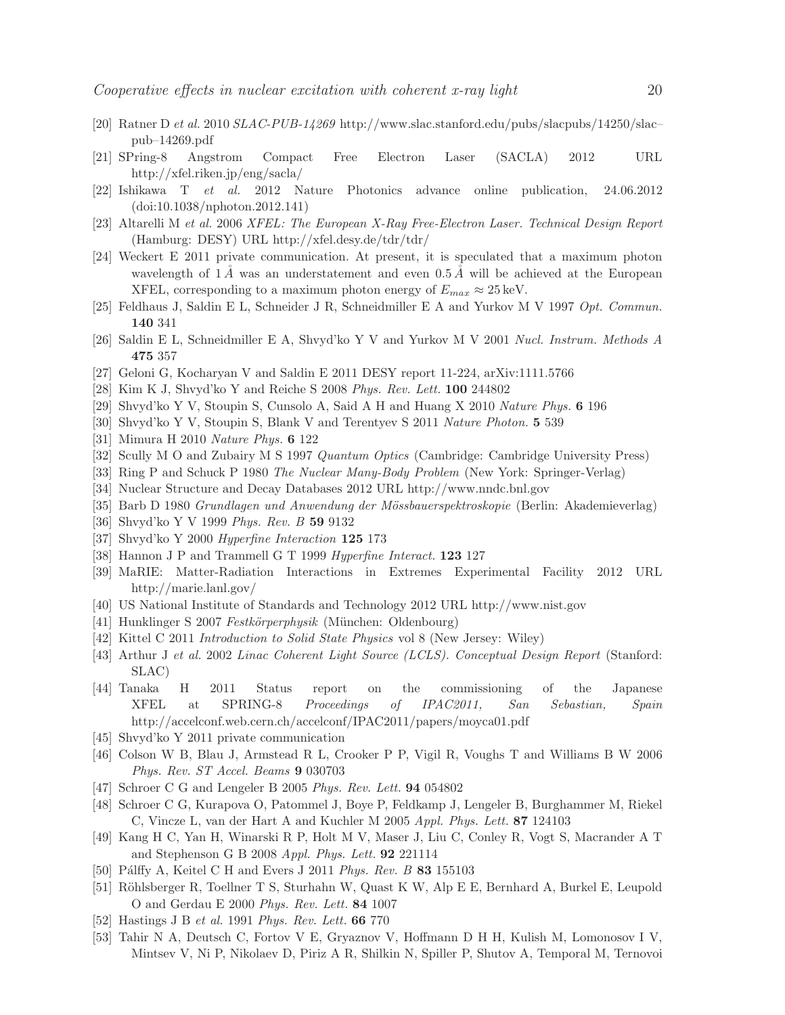- <span id="page-19-1"></span><span id="page-19-0"></span>[20] Ratner D *et al.* 2010 *SLAC-PUB-14269* http://www.slac.stanford.edu/pubs/slacpubs/14250/slac– pub–14269.pdf
- <span id="page-19-2"></span>[21] SPring-8 Angstrom Compact Free Electron Laser (SACLA) 2012 URL http://xfel.riken.jp/eng/sacla/
- <span id="page-19-3"></span>[22] Ishikawa T *et al.* 2012 Nature Photonics advance online publication, 24.06.2012 (doi:10.1038/nphoton.2012.141)
- <span id="page-19-4"></span>[23] Altarelli M *et al.* 2006 *XFEL: The European X-Ray Free-Electron Laser. Technical Design Report* (Hamburg: DESY) URL http://xfel.desy.de/tdr/tdr/
- [24] Weckert E 2011 private communication. At present, it is speculated that a maximum photon wavelength of  $1\,\AA$  was an understatement and even  $0.5\,\AA$  will be achieved at the European XFEL, corresponding to a maximum photon energy of  $E_{max} \approx 25 \,\text{keV}$ .
- <span id="page-19-6"></span><span id="page-19-5"></span>[25] Feldhaus J, Saldin E L, Schneider J R, Schneidmiller E A and Yurkov M V 1997 Opt. Commun. 140 341
- <span id="page-19-7"></span>[26] Saldin E L, Schneidmiller E A, Shvyd'ko Y V and Yurkov M V 2001 *Nucl. Instrum. Methods A* 475 357
- <span id="page-19-8"></span>[27] Geloni G, Kocharyan V and Saldin E 2011 DESY report 11-224, arXiv:1111.5766
- <span id="page-19-9"></span>[28] Kim K J, Shvyd'ko Y and Reiche S 2008 *Phys. Rev. Lett.* 100 244802
- <span id="page-19-10"></span>[29] Shvyd'ko Y V, Stoupin S, Cunsolo A, Said A H and Huang X 2010 *Nature Phys.* 6 196
- <span id="page-19-11"></span>[30] Shvyd'ko Y V, Stoupin S, Blank V and Terentyev S 2011 *Nature Photon.* 5 539
- <span id="page-19-12"></span>[31] Mimura H 2010 *Nature Phys.* 6 122
- <span id="page-19-13"></span>[32] Scully M O and Zubairy M S 1997 *Quantum Optics* (Cambridge: Cambridge University Press)
- <span id="page-19-14"></span>[33] Ring P and Schuck P 1980 *The Nuclear Many-Body Problem* (New York: Springer-Verlag)
- <span id="page-19-15"></span>[34] Nuclear Structure and Decay Databases 2012 URL http://www.nndc.bnl.gov
- <span id="page-19-16"></span>[35] Barb D 1980 *Grundlagen und Anwendung der Mössbauerspektroskopie* (Berlin: Akademieverlag)
- <span id="page-19-17"></span>[36] Shvyd'ko Y V 1999 *Phys. Rev. B* 59 9132
- <span id="page-19-18"></span>[37] Shvyd'ko Y 2000 *Hyperfine Interaction* 125 173
- <span id="page-19-19"></span>[38] Hannon J P and Trammell G T 1999 *Hyperfine Interact.* 123 127
- <span id="page-19-20"></span>[39] MaRIE: Matter-Radiation Interactions in Extremes Experimental Facility 2012 URL http://marie.lanl.gov/
- <span id="page-19-21"></span>[40] US National Institute of Standards and Technology 2012 URL http://www.nist.gov
- <span id="page-19-22"></span>[41] Hunklinger S 2007 *Festkörperphysik* (München: Oldenbourg)
- <span id="page-19-31"></span>[42] Kittel C 2011 *Introduction to Solid State Physics* vol 8 (New Jersey: Wiley)
- [43] Arthur J *et al.* 2002 *Linac Coherent Light Source (LCLS). Conceptual Design Report* (Stanford: SLAC)
- <span id="page-19-32"></span>[44] Tanaka H 2011 Status report on the commissioning of the Japanese XFEL at SPRING-8 *Proceedings of IPAC2011, San Sebastian, Spain* http://accelconf.web.cern.ch/accelconf/IPAC2011/papers/moyca01.pdf
- <span id="page-19-33"></span><span id="page-19-23"></span>[45] Shvyd'ko Y 2011 private communication
- [46] Colson W B, Blau J, Armstead R L, Crooker P P, Vigil R, Voughs T and Williams B W 2006 *Phys. Rev. ST Accel. Beams* 9 030703
- <span id="page-19-25"></span><span id="page-19-24"></span>[47] Schroer C G and Lengeler B 2005 *Phys. Rev. Lett.* 94 054802
- [48] Schroer C G, Kurapova O, Patommel J, Boye P, Feldkamp J, Lengeler B, Burghammer M, Riekel C, Vincze L, van der Hart A and Kuchler M 2005 *Appl. Phys. Lett.* 87 124103
- <span id="page-19-26"></span>[49] Kang H C, Yan H, Winarski R P, Holt M V, Maser J, Liu C, Conley R, Vogt S, Macrander A T and Stephenson G B 2008 *Appl. Phys. Lett.* 92 221114
- <span id="page-19-28"></span><span id="page-19-27"></span>[50] Pálffy A, Keitel C H and Evers J 2011 *Phys. Rev. B* 83 155103
- [51] Röhlsberger R, Toellner T S, Sturhahn W, Quast K W, Alp E E, Bernhard A, Burkel E, Leupold O and Gerdau E 2000 *Phys. Rev. Lett.* 84 1007
- <span id="page-19-30"></span><span id="page-19-29"></span>[52] Hastings J B *et al.* 1991 *Phys. Rev. Lett.* 66 770
- [53] Tahir N A, Deutsch C, Fortov V E, Gryaznov V, Hoffmann D H H, Kulish M, Lomonosov I V, Mintsev V, Ni P, Nikolaev D, Piriz A R, Shilkin N, Spiller P, Shutov A, Temporal M, Ternovoi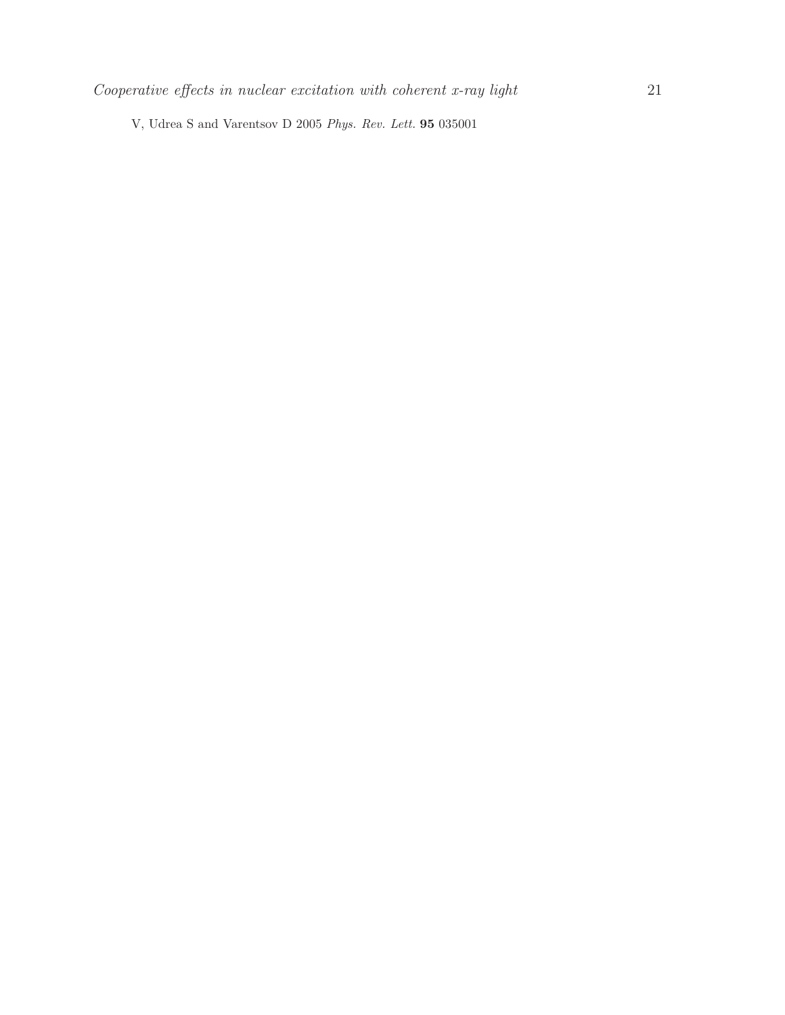V, Udrea S and Varentsov D 2005 *Phys. Rev. Lett.* 95 035001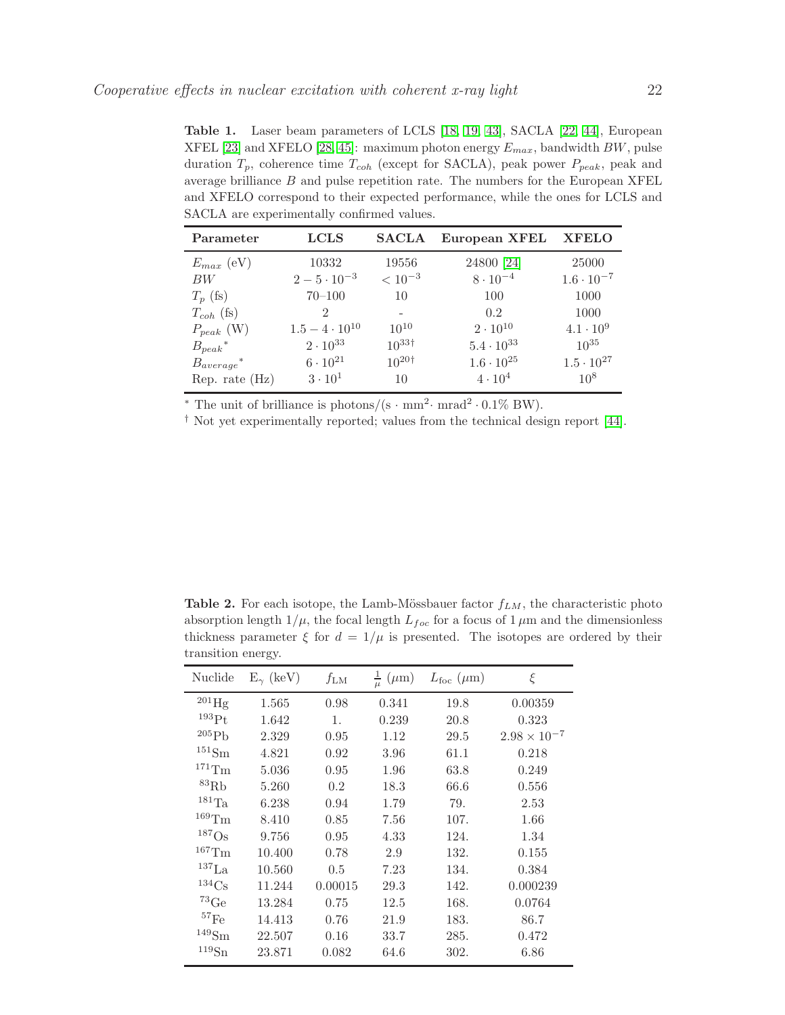<span id="page-21-0"></span>Table 1. Laser beam parameters of LCLS [\[18,](#page-18-17) [19,](#page-18-18) [43\]](#page-19-31), SACLA [\[22,](#page-19-2) [44\]](#page-19-32), European XFEL [\[23\]](#page-19-3) and XFELO [\[28,](#page-19-8) [45\]](#page-19-33): maximum photon energy  $E_{max}$ , bandwidth  $BW$ , pulse duration  $T_p$ , coherence time  $T_{coh}$  (except for SACLA), peak power  $P_{peak}$ , peak and average brilliance  $B$  and pulse repetition rate. The numbers for the European XFEL and XFELO correspond to their expected performance, while the ones for LCLS and SACLA are experimentally confirmed values.

| Parameter                  | <b>LCLS</b>                 | <b>SACLA</b>     | European XFEL       | XFELO               |
|----------------------------|-----------------------------|------------------|---------------------|---------------------|
| $E_{max}$ (eV)             | 10332                       | 19556            | 24800 [24]          | 25000               |
| BW                         | $2-5\cdot 10^{-3}$          | $< 10^{-3}$      | $8 \cdot 10^{-4}$   | $1.6 \cdot 10^{-7}$ |
| $T_p$ (fs)                 | $70 - 100$                  | 10               | 100                 | 1000                |
| $T_{coh}$ (fs)             | $\mathcal{D}_{\mathcal{L}}$ |                  | 0.2                 | 1000                |
| $P_{peak}$ (W)             | $1.5 - 4 \cdot 10^{10}$     | $10^{10}$        | $2 \cdot 10^{10}$   | $4.1 \cdot 10^{9}$  |
| $B_{peak}$ *               | $2 \cdot 10^{33}$           | $10^{33\dagger}$ | $5.4 \cdot 10^{33}$ | $10^{35}$           |
| $B_{average}$ <sup>*</sup> | $6 \cdot 10^{21}$           | $10^{20\dagger}$ | $1.6 \cdot 10^{25}$ | $1.5 \cdot 10^{27}$ |
| Rep. rate $(Hz)$           | $3 \cdot 10^1$              | 10               | $4 \cdot 10^4$      | $10^{8}$            |

\* The unit of brilliance is photons/(s · mm<sup>2</sup>· mrad<sup>2</sup> · 0.1% BW).

† Not yet experimentally reported; values from the technical design report [\[44\]](#page-19-32).

<span id="page-21-1"></span>Table 2. For each isotope, the Lamb-Mössbauer factor  $f_{LM}$ , the characteristic photo absorption length  $1/\mu$ , the focal length  $L_{foc}$  for a focus of  $1 \mu$ m and the dimensionless thickness parameter  $\xi$  for  $d = 1/\mu$  is presented. The isotopes are ordered by their transition energy.

| Nuclide             | $E_{\gamma}$ (keV) | $f_{\rm LM}$ | $\frac{1}{\mu}$ ( $\mu$ m) | $L_{\text{foc}}(\mu \text{m})$ | ξ                     |
|---------------------|--------------------|--------------|----------------------------|--------------------------------|-----------------------|
| $^{201}$ Hg         | 1.565              | 0.98         | 0.341                      | 19.8                           | 0.00359               |
| 193Pt               | 1.642              | 1.           | 0.239                      | 20.8                           | 0.323                 |
| 205P <sub>b</sub>   | 2.329              | 0.95         | 1.12                       | 29.5                           | $2.98 \times 10^{-7}$ |
| $^{151}{\rm Sm}$    | 4.821              | 0.92         | 3.96                       | 61.1                           | 0.218                 |
| $^{171}\mathrm{Tm}$ | 5.036              | 0.95         | 1.96                       | 63.8                           | 0.249                 |
| ${}^{83}$ Rb        | 5.260              | 0.2          | 18.3                       | 66.6                           | 0.556                 |
| $^{181}\mathrm{Ta}$ | 6.238              | 0.94         | 1.79                       | 79.                            | 2.53                  |
| $^{169}\mathrm{Tm}$ | 8.410              | 0.85         | 7.56                       | 107.                           | 1.66                  |
| $187$ Os            | 9.756              | 0.95         | 4.33                       | 124.                           | 1.34                  |
| $^{167}\mathrm{Tm}$ | 10.400             | 0.78         | 2.9                        | 132.                           | 0.155                 |
| $^{137}\rm{La}$     | 10.560             | 0.5          | 7.23                       | 134.                           | 0.384                 |
| $^{134}Cs$          | 11.244             | 0.00015      | 29.3                       | 142.                           | 0.000239              |
| $^{73}\mathrm{Ge}$  | 13.284             | 0.75         | 12.5                       | 168.                           | 0.0764                |
| $^{57}\mathrm{Fe}$  | 14.413             | 0.76         | 21.9                       | 183.                           | 86.7                  |
| $\rm ^{149}Sm$      | 22.507             | 0.16         | 33.7                       | 285.                           | 0.472                 |
| $^{119}{\rm Sn}$    | 23.871             | 0.082        | 64.6                       | 302.                           | 6.86                  |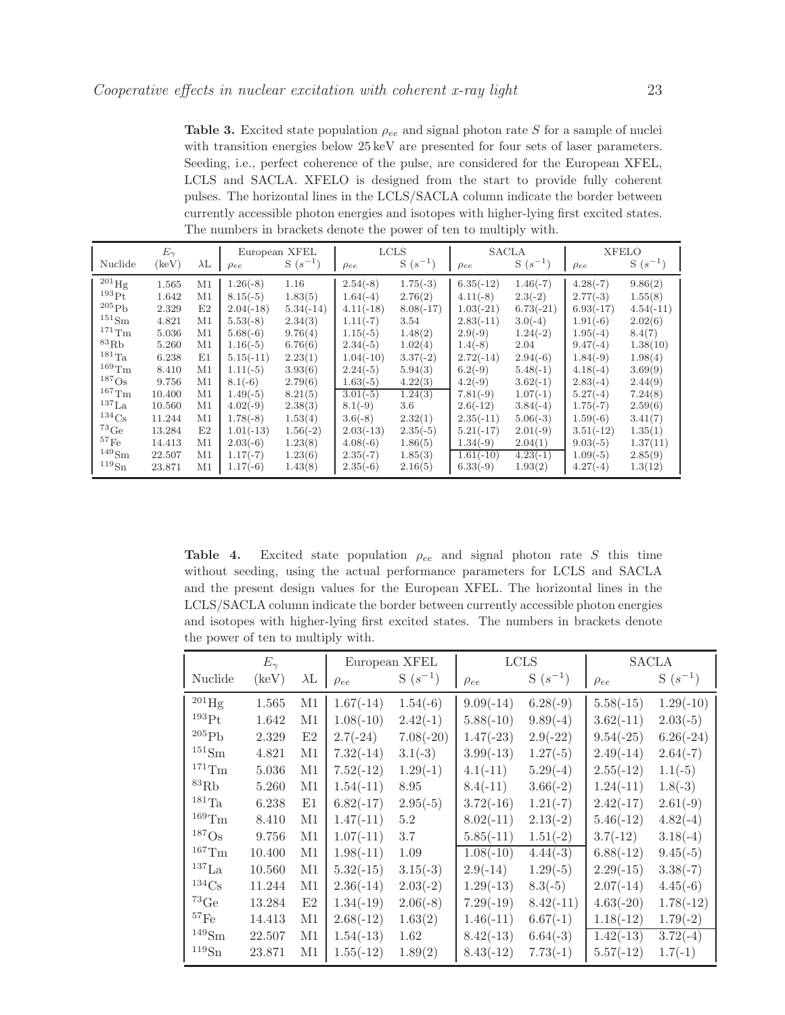<span id="page-22-0"></span>**Table 3.** Excited state population  $\rho_{ee}$  and signal photon rate S for a sample of nuclei with transition energies below 25 keV are presented for four sets of laser parameters. Seeding, i.e., perfect coherence of the pulse, are considered for the European XFEL, LCLS and SACLA. XFELO is designed from the start to provide fully coherent pulses. The horizontal lines in the LCLS/SACLA column indicate the border between currently accessible photon energies and isotopes with higher-lying first excited states. The numbers in brackets denote the power of ten to multiply with.

|                     | $E_{\gamma}$ |             | European XFEL |             | <b>LCLS</b> |             | <b>SACLA</b> |             | <b>XFELO</b> |             |
|---------------------|--------------|-------------|---------------|-------------|-------------|-------------|--------------|-------------|--------------|-------------|
| Nuclide             | (keV)        | $\lambda$ L | $\rho_{ee}$   | $S(s^{-1})$ | $\rho_{ee}$ | $S(s^{-1})$ | $\rho_{ee}$  | $S(s^{-1})$ | $\rho_{ee}$  | $S(s^{-1})$ |
| $^{201}\text{Hg}$   | 1.565        | M1          | $1.26(-8)$    | 1.16        | $2.54(-8)$  | $1.75(-3)$  | $6.35(-12)$  | $1.46(-7)$  | $4.28(-7)$   | 9.86(2)     |
| $193P_{\rm t}$      | 1.642        | M1          | $8.15(-5)$    | 1.83(5)     | $1.64(-4)$  | 2.76(2)     | $4.11(-8)$   | $2.3(-2)$   | $2.77(-3)$   | 1.55(8)     |
| 205Pb               | 2.329        | E2          | $2.04(-18)$   | $5.34(-14)$ | $4.11(-18)$ | $8.08(-17)$ | $1.03(-21)$  | $6.73(-21)$ | $6.93(-17)$  | $4.54(-11)$ |
| $^{151}Sm$          | 4.821        | M1          | $5.53(-8)$    | 2.34(3)     | $1.11(-7)$  | 3.54        | $2.83(-11)$  | $3.0(-4)$   | $1.91(-6)$   | 2.02(6)     |
| $^{171}\mathrm{Tm}$ | 5.036        | M1          | $5.68(-6)$    | 9.76(4)     | $1.15(-5)$  | 1.48(2)     | $2.9(-9)$    | $1.24(-2)$  | $1.95(-4)$   | 8.4(7)      |
| ${}^{83}$ Rb        | 5.260        | M1          | $1.16(-5)$    | 6.76(6)     | $2.34(-5)$  | 1.02(4)     | $1.4(-8)$    | 2.04        | $9.47(-4)$   | 1.38(10)    |
| $^{181}$ Ta         | 6.238        | E1          | $5.15(-11)$   | 2.23(1)     | $1.04(-10)$ | $3.37(-2)$  | $2.72(-14)$  | $2.94(-6)$  | $1.84(-9)$   | 1.98(4)     |
| $^{169}\mathrm{Tm}$ | 8.410        | M1          | $1.11(-5)$    | 3.93(6)     | $2.24(-5)$  | 5.94(3)     | $6.2(-9)$    | $5.48(-1)$  | $4.18(-4)$   | 3.69(9)     |
| $187$ Os            | 9.756        | M1          | $8.1(-6)$     | 2.79(6)     | $1.63(-5)$  | 4.22(3)     | $4.2(-9)$    | $3.62(-1)$  | $2.83(-4)$   | 2.44(9)     |
| $^{167}\mathrm{Tm}$ | 10.400       | M1          | $1.49(-5)$    | 8.21(5)     | $3.01(-5)$  | 1.24(3)     | $7.81(-9)$   | $1.07(-1)$  | $5.27(-4)$   | 7.24(8)     |
| $^{137}$ La         | 10.560       | M1          | $4.02(-9)$    | 2.38(3)     | $8.1(-9)$   | $3.6\,$     | $2.6(-12)$   | $3.84(-4)$  | $1.75(-7)$   | 2.59(6)     |
| $^{134}\mathrm{Cs}$ | 11.244       | M1          | $1.78(-8)$    | 1.53(4)     | $3.6(-8)$   | 2.32(1)     | $2.35(-11)$  | $5.06(-3)$  | $1.59(-6)$   | 3.41(7)     |
| ${}^{73}$ Ge        | 13.284       | E2          | $1.01(-13)$   | $1.56(-2)$  | $2.03(-13)$ | $2.35(-5)$  | $5.21(-17)$  | $2.01(-9)$  | $3.51(-12)$  | 1.35(1)     |
| ${}^{57}$ Fe        | 14.413       | M1          | $2.03(-6)$    | 1.23(8)     | $4.08(-6)$  | 1.86(5)     | $1.34(-9)$   | 2.04(1)     | $9.03(-5)$   | 1.37(11)    |
| $149$ Sm            | 22.507       | M1          | $1.17(-7)$    | 1.23(6)     | $2.35(-7)$  | 1.85(3)     | $1.61(-10)$  | $4.23(-1)$  | $1.09(-5)$   | 2.85(9)     |
| $^{119}Sn$          | 23.871       | M1          | $1.17(-6)$    | 1.43(8)     | $2.35(-6)$  | 2.16(5)     | $6.33(-9)$   | 1.93(2)     | $4.27(-4)$   | 1.3(12)     |

<span id="page-22-1"></span>Table 4. Excited state population  $\rho_{ee}$  and signal photon rate S this time without seeding, using the actual performance parameters for LCLS and SACLA and the present design values for the European XFEL. The horizontal lines in the LCLS/SACLA column indicate the border between currently accessible photon energies and isotopes with higher-lying first excited states. The numbers in brackets denote the power of ten to multiply with.

|                      | $E_{\gamma}$   | European XFEL |             | <b>LCLS</b> |             | <b>SACLA</b> |             |             |
|----------------------|----------------|---------------|-------------|-------------|-------------|--------------|-------------|-------------|
| Nuclide              | $(\text{keV})$ | $\lambda$ L   | $\rho_{ee}$ | $S(s^{-1})$ | $\rho_{ee}$ | $S(s^{-1})$  | $\rho_{ee}$ | $S(s^{-1})$ |
| $^{201}$ Hg          | 1.565          | M1            | $1.67(-14)$ | $1.54(-6)$  | $9.09(-14)$ | $6.28(-9)$   | $5.58(-15)$ | $1.29(-10)$ |
| $^{193}$ Pt          | 1.642          | M1            | $1.08(-10)$ | $2.42(-1)$  | $5.88(-10)$ | $9.89(-4)$   | $3.62(-11)$ | $2.03(-5)$  |
| $^{205}\mathrm{Pb}$  | 2.329          | E2            | $2.7(-24)$  | $7.08(-20)$ | $1.47(-23)$ | $2.9(-22)$   | $9.54(-25)$ | $6.26(-24)$ |
| $^{151}{\rm Sm}$     | 4.821          | M1            | $7.32(-14)$ | $3.1(-3)$   | $3.99(-13)$ | $1.27(-5)$   | $2.49(-14)$ | $2.64(-7)$  |
| $^{171}\mathrm{Tm}$  | 5.036          | M1            | $7.52(-12)$ | $1.29(-1)$  | $4.1(-11)$  | $5.29(-4)$   | $2.55(-12)$ | $1.1(-5)$   |
| ${}^{83}\mathrm{Rb}$ | 5.260          | M1            | $1.54(-11)$ | 8.95        | $8.4(-11)$  | $3.66(-2)$   | $1.24(-11)$ | $1.8(-3)$   |
| $^{181}\mathrm{Ta}$  | 6.238          | E1            | $6.82(-17)$ | $2.95(-5)$  | $3.72(-16)$ | $1.21(-7)$   | $2.42(-17)$ | $2.61(-9)$  |
| $^{169}\mathrm{Tm}$  | 8.410          | M1            | $1.47(-11)$ | 5.2         | $8.02(-11)$ | $2.13(-2)$   | $5.46(-12)$ | $4.82(-4)$  |
| $187$ Os             | 9.756          | M1            | $1.07(-11)$ | 3.7         | $5.85(-11)$ | $1.51(-2)$   | $3.7(-12)$  | $3.18(-4)$  |
| $^{167}\mathrm{Tm}$  | 10.400         | M1            | $1.98(-11)$ | 1.09        | $1.08(-10)$ | $4.44(-3)$   | $6.88(-12)$ | $9.45(-5)$  |
| $^{137}$ La          | 10.560         | M1            | $5.32(-15)$ | $3.15(-3)$  | $2.9(-14)$  | $1.29(-5)$   | $2.29(-15)$ | $3.38(-7)$  |
| $^{134}\mathrm{Cs}$  | 11.244         | M1            | $2.36(-14)$ | $2.03(-2)$  | $1.29(-13)$ | $8.3(-5)$    | $2.07(-14)$ | $4.45(-6)$  |
| $^{73}\mathrm{Ge}$   | 13.284         | E2            | $1.34(-19)$ | $2.06(-8)$  | $7.29(-19)$ | $8.42(-11)$  | $4.63(-20)$ | $1.78(-12)$ |
| $^{57}\mathrm{Fe}$   | 14.413         | M1            | $2.68(-12)$ | 1.63(2)     | $1.46(-11)$ | $6.67(-1)$   | $1.18(-12)$ | $1.79(-2)$  |
| $\rm ^{149}Sm$       | 22.507         | М1            | $1.54(-13)$ | 1.62        | $8.42(-13)$ | $6.64(-3)$   | $1.42(-13)$ | $3.72(-4)$  |
| $^{119}{\rm Sn}$     | 23.871         | M1            | $1.55(-12)$ | 1.89(2)     | $8.43(-12)$ | $7.73(-1)$   | $5.57(-12)$ | $1.7(-1)$   |